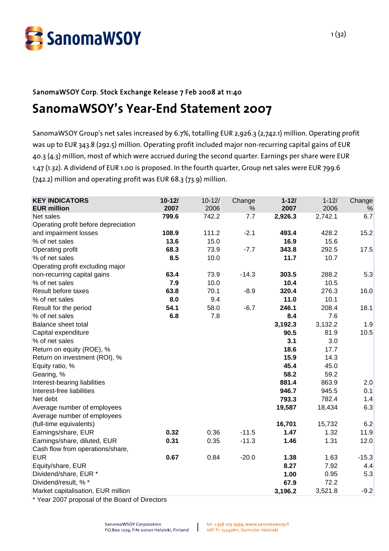

# SanomaWSOY Corp. Stock Exchange Release 7 Feb 2008 at 11:40 **SanomaWSOY's Year-End Statement 2007**

SanomaWSOY Group's net sales increased by 6.7%, totalling EUR 2,926.3 (2,742.1) million. Operating profit was up to EUR 343.8 (292.5) million. Operating profit included major non-recurring capital gains of EUR 40.3 (4.3) million, most of which were accrued during the second quarter. Earnings per share were EUR 1.47 (1.32). A dividend of EUR 1.00 is proposed. In the fourth quarter, Group net sales were EUR 799.6 (742.2) million and operating profit was EUR 68.3 (73.9) million.

| <b>KEY INDICATORS</b><br><b>EUR million</b>                                                      | $10 - 12/$<br>2007 | $10 - 12/$<br>2006 | Change<br>% | $1 - 121$<br>2007 | $1 - 12/$<br>2006 | Change<br>% |
|--------------------------------------------------------------------------------------------------|--------------------|--------------------|-------------|-------------------|-------------------|-------------|
| Net sales                                                                                        | 799.6              | 742.2              | 7.7         | 2,926.3           | 2,742.1           | 6.7         |
| Operating profit before depreciation                                                             |                    |                    |             |                   |                   |             |
| and impairment losses                                                                            | 108.9              | 111.2              | $-2.1$      | 493.4             | 428.2             | 15.2        |
| % of net sales                                                                                   | 13.6               | 15.0               |             | 16.9              | 15.6              |             |
| Operating profit                                                                                 | 68.3               | 73.9               | $-7.7$      | 343.8             | 292.5             | 17.5        |
| % of net sales                                                                                   | 8.5                | 10.0               |             | 11.7              | 10.7              |             |
| Operating profit excluding major                                                                 |                    |                    |             |                   |                   |             |
| non-recurring capital gains                                                                      | 63.4               | 73.9               | $-14.3$     | 303.5             | 288.2             | 5.3         |
| % of net sales                                                                                   | 7.9                | 10.0               |             | 10.4              | 10.5              |             |
| Result before taxes                                                                              | 63.8               | 70.1               | $-8.9$      | 320.4             | 276.3             | 16.0        |
| % of net sales                                                                                   | 8.0                | 9.4                |             | 11.0              | 10.1              |             |
| Result for the period                                                                            | 54.1               | 58.0               | $-6.7$      | 246.1             | 208.4             | 18.1        |
| % of net sales                                                                                   | 6.8                | 7.8                |             | 8.4               | 7.6               |             |
| Balance sheet total                                                                              |                    |                    |             | 3,192.3           | 3,132.2           | 1.9         |
| Capital expenditure                                                                              |                    |                    |             | 90.5              | 81.9              | 10.5        |
| % of net sales                                                                                   |                    |                    |             | 3.1               | 3.0               |             |
| Return on equity (ROE), %                                                                        |                    |                    |             | 18.6              | 17.7              |             |
| Return on investment (ROI), %                                                                    |                    |                    |             | 15.9              | 14.3              |             |
| Equity ratio, %                                                                                  |                    |                    |             | 45.4              | 45.0              |             |
| Gearing, %                                                                                       |                    |                    |             | 58.2              | 59.2              |             |
| Interest-bearing liabilities                                                                     |                    |                    |             | 881.4             | 863.9             | 2.0         |
| Interest-free liabilities                                                                        |                    |                    |             | 946.7             | 945.5             | 0.1         |
| Net debt                                                                                         |                    |                    |             | 793.3             | 782.4             | 1.4         |
| Average number of employees                                                                      |                    |                    |             | 19,587            | 18,434            | 6.3         |
| Average number of employees                                                                      |                    |                    |             |                   |                   |             |
| (full-time equivalents)                                                                          |                    |                    |             | 16,701            | 15,732            | 6.2         |
| Earnings/share, EUR                                                                              | 0.32               | 0.36               | $-11.5$     | 1.47              | 1.32              | 11.9        |
| Earnings/share, diluted, EUR                                                                     | 0.31               | 0.35               | $-11.3$     | 1.46              | 1.31              | 12.0        |
| Cash flow from operations/share,                                                                 |                    |                    |             |                   |                   |             |
| <b>EUR</b>                                                                                       | 0.67               | 0.84               | $-20.0$     | 1.38              | 1.63              | $-15.3$     |
| Equity/share, EUR                                                                                |                    |                    |             | 8.27              | 7.92              | 4.4         |
| Dividend/share, EUR *                                                                            |                    |                    |             | 1.00              | 0.95              | 5.3         |
| Dividend/result, % *                                                                             |                    |                    |             | 67.9              | 72.2              |             |
| Market capitalisation, EUR million<br>$\sim$ $\sim$ $\sim$<br>$\sim$ $\sim$ $\sim$ $\sim$ $\sim$ |                    |                    |             | 3,196.2           | 3,521.8           | $-9.2$      |

 $\perp$ 

Year 2007 proposal of the Board of Directors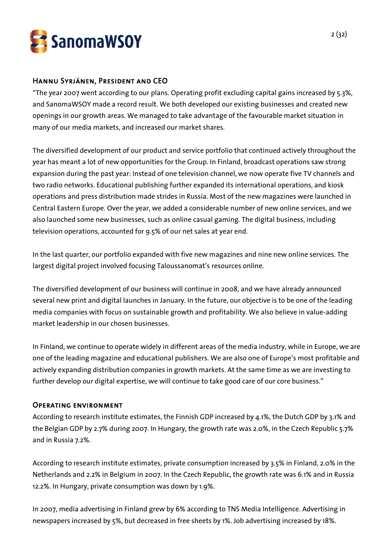

## Hannu Syrjänen, President and CEO

"The year 2007 went according to our plans. Operating profit excluding capital gains increased by 5.3%, and SanomaWSOY made a record result. We both developed our existing businesses and created new openings in our growth areas. We managed to take advantage of the favourable market situation in many of our media markets, and increased our market shares.

The diversified development of our product and service portfolio that continued actively throughout the year has meant a lot of new opportunities for the Group. In Finland, broadcast operations saw strong expansion during the past year: Instead of one television channel, we now operate five TV channels and two radio networks. Educational publishing further expanded its international operations, and kiosk operations and press distribution made strides in Russia. Most of the new magazines were launched in Central Eastern Europe. Over the year, we added a considerable number of new online services, and we also launched some new businesses, such as online casual gaming. The digital business, including television operations, accounted for 9.5% of our net sales at year end.

In the last quarter, our portfolio expanded with five new magazines and nine new online services. The largest digital project involved focusing Taloussanomat's resources online.

The diversified development of our business will continue in 2008, and we have already announced several new print and digital launches in January. In the future, our objective is to be one of the leading media companies with focus on sustainable growth and profitability. We also believe in value-adding market leadership in our chosen businesses.

In Finland, we continue to operate widely in different areas of the media industry, while in Europe, we are one of the leading magazine and educational publishers. We are also one of Europe's most profitable and actively expanding distribution companies in growth markets. At the same time as we are investing to further develop our digital expertise, we will continue to take good care of our core business."

## Operating environment

According to research institute estimates, the Finnish GDP increased by 4.1%, the Dutch GDP by 3.1% and the Belgian GDP by 2.7% during 2007. In Hungary, the growth rate was 2.0%, in the Czech Republic 5.7% and in Russia 7.2%.

According to research institute estimates, private consumption increased by 3.5% in Finland, 2.0% in the Netherlands and 2.2% in Belgium in 2007. In the Czech Republic, the growth rate was 6.1% and in Russia 12.2%. In Hungary, private consumption was down by 1.9%.

In 2007, media advertising in Finland grew by 6% according to TNS Media Intelligence. Advertising in newspapers increased by 5%, but decreased in free sheets by 1%. Job advertising increased by 18%.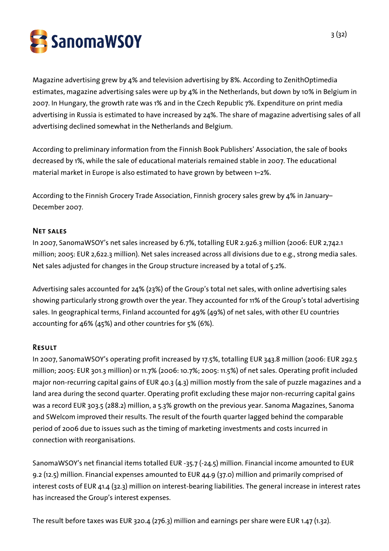SanomaWSOY

Magazine advertising grew by 4% and television advertising by 8%. According to ZenithOptimedia estimates, magazine advertising sales were up by 4% in the Netherlands, but down by 10% in Belgium in 2007. In Hungary, the growth rate was 1% and in the Czech Republic 7%. Expenditure on print media advertising in Russia is estimated to have increased by 24%. The share of magazine advertising sales of all advertising declined somewhat in the Netherlands and Belgium.

According to preliminary information from the Finnish Book Publishers' Association, the sale of books decreased by 1%, while the sale of educational materials remained stable in 2007. The educational material market in Europe is also estimated to have grown by between 1–2%.

According to the Finnish Grocery Trade Association, Finnish grocery sales grew by 4% in January– December 2007.

## Net sales

In 2007, SanomaWSOY's net sales increased by 6.7%, totalling EUR 2.926.3 million (2006: EUR 2,742.1 million; 2005: EUR 2,622.3 million). Net sales increased across all divisions due to e.g., strong media sales. Net sales adjusted for changes in the Group structure increased by a total of 5.2%.

Advertising sales accounted for 24% (23%) of the Group's total net sales, with online advertising sales showing particularly strong growth over the year. They accounted for 11% of the Group's total advertising sales. In geographical terms, Finland accounted for 49% (49%) of net sales, with other EU countries accounting for 46% (45%) and other countries for 5% (6%).

## Result

In 2007, SanomaWSOY's operating profit increased by 17.5%, totalling EUR 343.8 million (2006: EUR 292.5 million; 2005: EUR 301.3 million) or 11.7% (2006: 10.7%; 2005: 11.5%) of net sales. Operating profit included major non-recurring capital gains of EUR 40.3 (4.3) million mostly from the sale of puzzle magazines and a land area during the second quarter. Operating profit excluding these major non-recurring capital gains was a record EUR 303.5 (288.2) million, a 5.3% growth on the previous year. Sanoma Magazines, Sanoma and SWelcom improved their results. The result of the fourth quarter lagged behind the comparable period of 2006 due to issues such as the timing of marketing investments and costs incurred in connection with reorganisations.

SanomaWSOY's net financial items totalled EUR -35.7 (-24.5) million. Financial income amounted to EUR 9.2 (12.5) million. Financial expenses amounted to EUR 44.9 (37.0) million and primarily comprised of interest costs of EUR 41.4 (32.3) million on interest-bearing liabilities. The general increase in interest rates has increased the Group's interest expenses.

The result before taxes was EUR 320.4 (276.3) million and earnings per share were EUR 1.47 (1.32).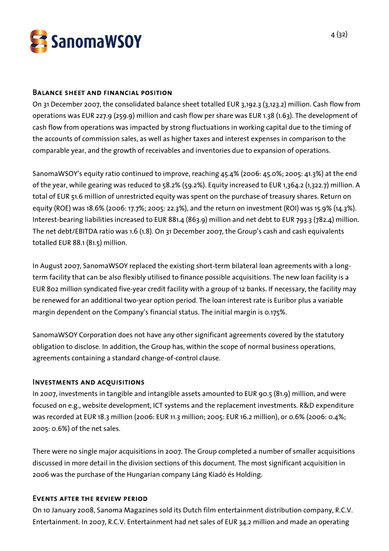

#### Balance sheet and financial position

On 31 December 2007, the consolidated balance sheet totalled EUR 3,192.3 (3,123.2) million. Cash flow from operations was EUR 227.9 (259.9) million and cash flow per share was EUR 1.38 (1.63). The development of cash flow from operations was impacted by strong fluctuations in working capital due to the timing of the accounts of commission sales, as well as higher taxes and interest expenses in comparison to the comparable year, and the growth of receivables and inventories due to expansion of operations.

SanomaWSOY's equity ratio continued to improve, reaching 45.4% (2006: 45.0%; 2005: 41.3%) at the end of the year, while gearing was reduced to 58.2% (59.2%). Equity increased to EUR 1,364.2 (1,322.7) million. A total of EUR 51.6 million of unrestricted equity was spent on the purchase of treasury shares. Return on equity (ROE) was 18.6% (2006: 17.7%; 2005: 22.3%), and the return on investment (ROI) was 15.9% (14.3%). Interest-bearing liabilities increased to EUR 881.4 (863.9) million and net debt to EUR 793.3 (782.4) million. The net debt/EBITDA ratio was 1.6 (1.8). On 31 December 2007, the Group's cash and cash equivalents totalled EUR 88.1 (81.5) million.

In August 2007, SanomaWSOY replaced the existing short-term bilateral loan agreements with a longterm facility that can be also flexibly utilised to finance possible acquisitions. The new loan facility is a EUR 802 million syndicated five-year credit facility with a group of 12 banks. If necessary, the facility may be renewed for an additional two-year option period. The loan interest rate is Euribor plus a variable margin dependent on the Company's financial status. The initial margin is 0.175%.

SanomaWSOY Corporation does not have any other significant agreements covered by the statutory obligation to disclose. In addition, the Group has, within the scope of normal business operations, agreements containing a standard change-of-control clause.

## Investments and acquisitions

In 2007, investments in tangible and intangible assets amounted to EUR 90.5 (81.9) million, and were focused on e.g., website development, ICT systems and the replacement investments. R&D expenditure was recorded at EUR 18.3 million (2006: EUR 11.3 million; 2005: EUR 16.2 million), or 0.6% (2006: 0.4%; 2005: 0.6%) of the net sales.

There were no single major acquisitions in 2007. The Group completed a number of smaller acquisitions discussed in more detail in the division sections of this document. The most significant acquisition in 2006 was the purchase of the Hungarian company Láng Kiadó és Holding.

## Events after the review period

On 10 January 2008, Sanoma Magazines sold its Dutch film entertainment distribution company, R.C.V. Entertainment. In 2007, R.C.V. Entertainment had net sales of EUR 34.2 million and made an operating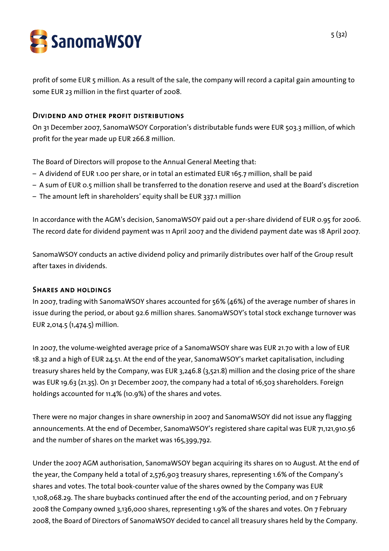

profit of some EUR 5 million. As a result of the sale, the company will record a capital gain amounting to some EUR 23 million in the first quarter of 2008.

## Dividend and other profit distributions

On 31 December 2007, SanomaWSOY Corporation's distributable funds were EUR 503.3 million, of which profit for the year made up EUR 266.8 million.

The Board of Directors will propose to the Annual General Meeting that:

- A dividend of EUR 1.00 per share, or in total an estimated EUR 165.7 million, shall be paid
- A sum of EUR 0.5 million shall be transferred to the donation reserve and used at the Board's discretion
- The amount left in shareholders' equity shall be EUR 337.1 million

In accordance with the AGM's decision, SanomaWSOY paid out a per-share dividend of EUR 0.95 for 2006. The record date for dividend payment was 11 April 2007 and the dividend payment date was 18 April 2007.

SanomaWSOY conducts an active dividend policy and primarily distributes over half of the Group result after taxes in dividends.

#### Shares and holdings

In 2007, trading with SanomaWSOY shares accounted for 56% (46%) of the average number of shares in issue during the period, or about 92.6 million shares. SanomaWSOY's total stock exchange turnover was EUR 2,014.5 (1,474.5) million.

In 2007, the volume-weighted average price of a SanomaWSOY share was EUR 21.70 with a low of EUR 18.32 and a high of EUR 24.51. At the end of the year, SanomaWSOY's market capitalisation, including treasury shares held by the Company, was EUR 3,246.8 (3,521.8) million and the closing price of the share was EUR 19.63 (21.35). On 31 December 2007, the company had a total of 16,503 shareholders. Foreign holdings accounted for 11.4% (10.9%) of the shares and votes.

There were no major changes in share ownership in 2007 and SanomaWSOY did not issue any flagging announcements. At the end of December, SanomaWSOY's registered share capital was EUR 71,121,910.56 and the number of shares on the market was 165,399,792.

Under the 2007 AGM authorisation, SanomaWSOY began acquiring its shares on 10 August. At the end of the year, the Company held a total of 2,576,903 treasury shares, representing 1.6% of the Company's shares and votes. The total book-counter value of the shares owned by the Company was EUR 1,108,068.29. The share buybacks continued after the end of the accounting period, and on 7 February 2008 the Company owned 3,136,000 shares, representing 1.9% of the shares and votes. On 7 February 2008, the Board of Directors of SanomaWSOY decided to cancel all treasury shares held by the Company.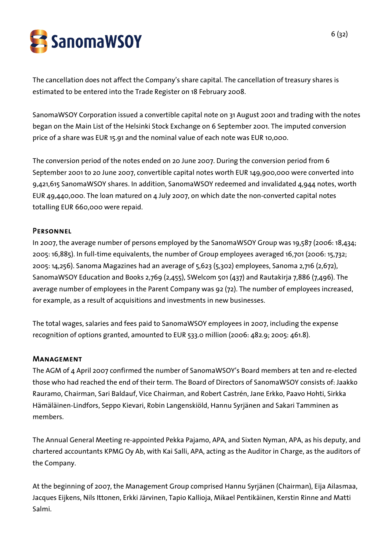SanomaWSOY

The cancellation does not affect the Company's share capital. The cancellation of treasury shares is estimated to be entered into the Trade Register on 18 February 2008.

SanomaWSOY Corporation issued a convertible capital note on 31 August 2001 and trading with the notes began on the Main List of the Helsinki Stock Exchange on 6 September 2001. The imputed conversion price of a share was EUR 15.91 and the nominal value of each note was EUR 10,000.

The conversion period of the notes ended on 20 June 2007. During the conversion period from 6 September 2001 to 20 June 2007, convertible capital notes worth EUR 149,900,000 were converted into 9,421,615 SanomaWSOY shares. In addition, SanomaWSOY redeemed and invalidated 4,944 notes, worth EUR 49,440,000. The loan matured on 4 July 2007, on which date the non-converted capital notes totalling EUR 660,000 were repaid.

## **PERSONNEL**

In 2007, the average number of persons employed by the SanomaWSOY Group was 19,587 (2006: 18,434; 2005: 16,885). In full-time equivalents, the number of Group employees averaged 16,701 (2006: 15,732; 2005: 14,256). Sanoma Magazines had an average of 5,623 (5,302) employees, Sanoma 2,716 (2,672), SanomaWSOY Education and Books 2,769 (2,455), SWelcom 501 (437) and Rautakirja 7,886 (7,496). The average number of employees in the Parent Company was 92 (72). The number of employees increased, for example, as a result of acquisitions and investments in new businesses.

The total wages, salaries and fees paid to SanomaWSOY employees in 2007, including the expense recognition of options granted, amounted to EUR 533.0 million (2006: 482.9; 2005: 461.8).

## Management

The AGM of 4 April 2007 confirmed the number of SanomaWSOY's Board members at ten and re-elected those who had reached the end of their term. The Board of Directors of SanomaWSOY consists of: Jaakko Rauramo, Chairman, Sari Baldauf, Vice Chairman, and Robert Castrén, Jane Erkko, Paavo Hohti, Sirkka Hämäläinen-Lindfors, Seppo Kievari, Robin Langenskiöld, Hannu Syrjänen and Sakari Tamminen as members.

The Annual General Meeting re-appointed Pekka Pajamo, APA, and Sixten Nyman, APA, as his deputy, and chartered accountants KPMG Oy Ab, with Kai Salli, APA, acting as the Auditor in Charge, as the auditors of the Company.

At the beginning of 2007, the Management Group comprised Hannu Syrjänen (Chairman), Eija Ailasmaa, Jacques Eijkens, Nils Ittonen, Erkki Järvinen, Tapio Kallioja, Mikael Pentikäinen, Kerstin Rinne and Matti Salmi.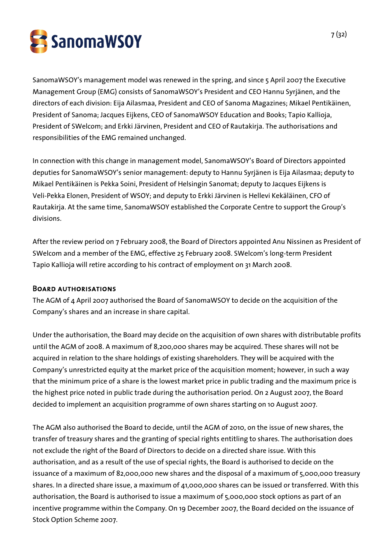

SanomaWSOY's management model was renewed in the spring, and since 5 April 2007 the Executive Management Group (EMG) consists of SanomaWSOY's President and CEO Hannu Syrjänen, and the directors of each division: Eija Ailasmaa, President and CEO of Sanoma Magazines; Mikael Pentikäinen, President of Sanoma; Jacques Eijkens, CEO of SanomaWSOY Education and Books; Tapio Kallioja, President of SWelcom; and Erkki Järvinen, President and CEO of Rautakirja. The authorisations and responsibilities of the EMG remained unchanged.

In connection with this change in management model, SanomaWSOY's Board of Directors appointed deputies for SanomaWSOY's senior management: deputy to Hannu Syrjänen is Eija Ailasmaa; deputy to Mikael Pentikäinen is Pekka Soini, President of Helsingin Sanomat; deputy to Jacques Eijkens is Veli-Pekka Elonen, President of WSOY; and deputy to Erkki Järvinen is Hellevi Kekäläinen, CFO of Rautakirja. At the same time, SanomaWSOY established the Corporate Centre to support the Group's divisions.

After the review period on 7 February 2008, the Board of Directors appointed Anu Nissinen as President of SWelcom and a member of the EMG, effective 25 February 2008. SWelcom's long-term President Tapio Kallioja will retire according to his contract of employment on 31 March 2008.

#### Board authorisations

The AGM of 4 April 2007 authorised the Board of SanomaWSOY to decide on the acquisition of the Company's shares and an increase in share capital.

Under the authorisation, the Board may decide on the acquisition of own shares with distributable profits until the AGM of 2008. A maximum of 8,200,000 shares may be acquired. These shares will not be acquired in relation to the share holdings of existing shareholders. They will be acquired with the Company's unrestricted equity at the market price of the acquisition moment; however, in such a way that the minimum price of a share is the lowest market price in public trading and the maximum price is the highest price noted in public trade during the authorisation period. On 2 August 2007, the Board decided to implement an acquisition programme of own shares starting on 10 August 2007.

The AGM also authorised the Board to decide, until the AGM of 2010, on the issue of new shares, the transfer of treasury shares and the granting of special rights entitling to shares. The authorisation does not exclude the right of the Board of Directors to decide on a directed share issue. With this authorisation, and as a result of the use of special rights, the Board is authorised to decide on the issuance of a maximum of 82,000,000 new shares and the disposal of a maximum of 5,000,000 treasury shares. In a directed share issue, a maximum of 41,000,000 shares can be issued or transferred. With this authorisation, the Board is authorised to issue a maximum of 5,000,000 stock options as part of an incentive programme within the Company. On 19 December 2007, the Board decided on the issuance of Stock Option Scheme 2007.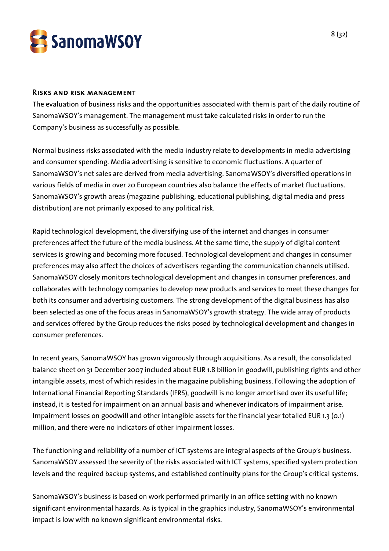

#### Risks and risk management

The evaluation of business risks and the opportunities associated with them is part of the daily routine of SanomaWSOY's management. The management must take calculated risks in order to run the Company's business as successfully as possible.

Normal business risks associated with the media industry relate to developments in media advertising and consumer spending. Media advertising is sensitive to economic fluctuations. A quarter of SanomaWSOY's net sales are derived from media advertising. SanomaWSOY's diversified operations in various fields of media in over 20 European countries also balance the effects of market fluctuations. SanomaWSOY's growth areas (magazine publishing, educational publishing, digital media and press distribution) are not primarily exposed to any political risk.

Rapid technological development, the diversifying use of the internet and changes in consumer preferences affect the future of the media business. At the same time, the supply of digital content services is growing and becoming more focused. Technological development and changes in consumer preferences may also affect the choices of advertisers regarding the communication channels utilised. SanomaWSOY closely monitors technological development and changes in consumer preferences, and collaborates with technology companies to develop new products and services to meet these changes for both its consumer and advertising customers. The strong development of the digital business has also been selected as one of the focus areas in SanomaWSOY's growth strategy. The wide array of products and services offered by the Group reduces the risks posed by technological development and changes in consumer preferences.

In recent years, SanomaWSOY has grown vigorously through acquisitions. As a result, the consolidated balance sheet on 31 December 2007 included about EUR 1.8 billion in goodwill, publishing rights and other intangible assets, most of which resides in the magazine publishing business. Following the adoption of International Financial Reporting Standards (IFRS), goodwill is no longer amortised over its useful life; instead, it is tested for impairment on an annual basis and whenever indicators of impairment arise. Impairment losses on goodwill and other intangible assets for the financial year totalled EUR 1.3 (0.1) million, and there were no indicators of other impairment losses.

The functioning and reliability of a number of ICT systems are integral aspects of the Group's business. SanomaWSOY assessed the severity of the risks associated with ICT systems, specified system protection levels and the required backup systems, and established continuity plans for the Group's critical systems.

SanomaWSOY's business is based on work performed primarily in an office setting with no known significant environmental hazards. As is typical in the graphics industry, SanomaWSOY's environmental impact is low with no known significant environmental risks.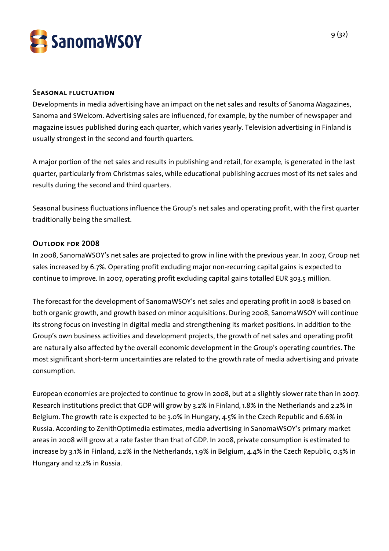

#### Seasonal fluctuation

Developments in media advertising have an impact on the net sales and results of Sanoma Magazines, Sanoma and SWelcom. Advertising sales are influenced, for example, by the number of newspaper and magazine issues published during each quarter, which varies yearly. Television advertising in Finland is usually strongest in the second and fourth quarters.

A major portion of the net sales and results in publishing and retail, for example, is generated in the last quarter, particularly from Christmas sales, while educational publishing accrues most of its net sales and results during the second and third quarters.

Seasonal business fluctuations influence the Group's net sales and operating profit, with the first quarter traditionally being the smallest.

## Outlook for 2008

In 2008, SanomaWSOY's net sales are projected to grow in line with the previous year. In 2007, Group net sales increased by 6.7%. Operating profit excluding major non-recurring capital gains is expected to continue to improve. In 2007, operating profit excluding capital gains totalled EUR 303.5 million.

The forecast for the development of SanomaWSOY's net sales and operating profit in 2008 is based on both organic growth, and growth based on minor acquisitions. During 2008, SanomaWSOY will continue its strong focus on investing in digital media and strengthening its market positions. In addition to the Group's own business activities and development projects, the growth of net sales and operating profit are naturally also affected by the overall economic development in the Group's operating countries. The most significant short-term uncertainties are related to the growth rate of media advertising and private consumption.

European economies are projected to continue to grow in 2008, but at a slightly slower rate than in 2007. Research institutions predict that GDP will grow by 3.2% in Finland, 1.8% in the Netherlands and 2.2% in Belgium. The growth rate is expected to be 3.0% in Hungary, 4.5% in the Czech Republic and 6.6% in Russia. According to ZenithOptimedia estimates, media advertising in SanomaWSOY's primary market areas in 2008 will grow at a rate faster than that of GDP. In 2008, private consumption is estimated to increase by 3.1% in Finland, 2.2% in the Netherlands, 1.9% in Belgium, 4.4% in the Czech Republic, 0.5% in Hungary and 12.2% in Russia.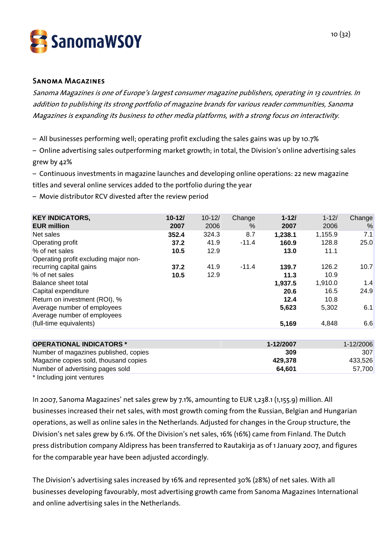

#### Sanoma Magazines

Sanoma Magazines is one of Europe's largest consumer magazine publishers, operating in 13 countries. In addition to publishing its strong portfolio of magazine brands for various reader communities, Sanoma Magazines is expanding its business to other media platforms, with a strong focus on interactivity.

– All businesses performing well; operating profit excluding the sales gains was up by 10.7%

– Online advertising sales outperforming market growth; in total, the Division's online advertising sales grew by 42%

– Continuous investments in magazine launches and developing online operations: 22 new magazine titles and several online services added to the portfolio during the year

– Movie distributor RCV divested after the review period

| $10 - 12/$<br>2007 | $10 - 12/$<br>2006 | Change<br>$\%$ | $1 - 121$<br>2007 | $1 - 12/$<br>2006 | Change<br>$\%$ |
|--------------------|--------------------|----------------|-------------------|-------------------|----------------|
| 352.4              | 324.3              | 8.7            | 1,238.1           | 1,155.9           | 7.1            |
| 37.2               | 41.9               | $-11.4$        | 160.9             | 128.8             | 25.0           |
| 10.5               | 12.9               |                | 13.0              | 11.1              |                |
|                    |                    |                |                   |                   |                |
| 37.2               | 41.9               | $-11.4$        | 139.7             | 126.2             | 10.7           |
| 10.5               | 12.9               |                | 11.3              | 10.9              |                |
|                    |                    |                | 1,937.5           | 1,910.0           | 1.4            |
|                    |                    |                | 20.6              | 16.5              | 24.9           |
|                    |                    |                | 12.4              | 10.8              |                |
|                    |                    |                | 5,623             | 5,302             | 6.1            |
|                    |                    |                |                   |                   |                |
|                    |                    |                | 5,169             | 4,848             | 6.6            |
|                    |                    |                |                   |                   |                |

| <b>OPERATIONAL INDICATORS *</b>                                                                                 | 1-12/2007 | $1 - 12/2006$ |
|-----------------------------------------------------------------------------------------------------------------|-----------|---------------|
| Number of magazines published, copies                                                                           | 309       | <b>307</b>    |
| Magazine copies sold, thousand copies                                                                           | 429.378   | 433.526       |
| Number of advertising pages sold                                                                                | 64.601    | 57.700        |
| the contract of the contract of the contract of the contract of the contract of the contract of the contract of |           |               |

Including joint ventures

In 2007, Sanoma Magazines' net sales grew by 7.1%, amounting to EUR 1,238.1 (1,155.9) million. All businesses increased their net sales, with most growth coming from the Russian, Belgian and Hungarian operations, as well as online sales in the Netherlands. Adjusted for changes in the Group structure, the Division's net sales grew by 6.1%. Of the Division's net sales, 16% (16%) came from Finland. The Dutch press distribution company Aldipress has been transferred to Rautakirja as of 1 January 2007, and figures for the comparable year have been adjusted accordingly.

The Division's advertising sales increased by 16% and represented 30% (28%) of net sales. With all businesses developing favourably, most advertising growth came from Sanoma Magazines International and online advertising sales in the Netherlands.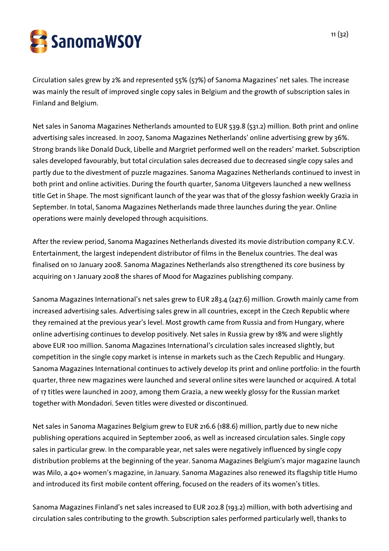

Circulation sales grew by 2% and represented 55% (57%) of Sanoma Magazines' net sales. The increase was mainly the result of improved single copy sales in Belgium and the growth of subscription sales in Finland and Belgium.

Net sales in Sanoma Magazines Netherlands amounted to EUR 539.8 (531.2) million. Both print and online advertising sales increased. In 2007, Sanoma Magazines Netherlands' online advertising grew by 36%. Strong brands like Donald Duck, Libelle and Margriet performed well on the readers' market. Subscription sales developed favourably, but total circulation sales decreased due to decreased single copy sales and partly due to the divestment of puzzle magazines. Sanoma Magazines Netherlands continued to invest in both print and online activities. During the fourth quarter, Sanoma Uitgevers launched a new wellness title Get in Shape. The most significant launch of the year was that of the glossy fashion weekly Grazia in September. In total, Sanoma Magazines Netherlands made three launches during the year. Online operations were mainly developed through acquisitions.

After the review period, Sanoma Magazines Netherlands divested its movie distribution company R.C.V. Entertainment, the largest independent distributor of films in the Benelux countries. The deal was finalised on 10 January 2008. Sanoma Magazines Netherlands also strengthened its core business by acquiring on 1 January 2008 the shares of Mood for Magazines publishing company.

Sanoma Magazines International's net sales grew to EUR 283.4 (247.6) million. Growth mainly came from increased advertising sales. Advertising sales grew in all countries, except in the Czech Republic where they remained at the previous year's level. Most growth came from Russia and from Hungary, where online advertising continues to develop positively. Net sales in Russia grew by 18% and were slightly above EUR 100 million. Sanoma Magazines International's circulation sales increased slightly, but competition in the single copy market is intense in markets such as the Czech Republic and Hungary. Sanoma Magazines International continues to actively develop its print and online portfolio: in the fourth quarter, three new magazines were launched and several online sites were launched or acquired. A total of 17 titles were launched in 2007, among them Grazia, a new weekly glossy for the Russian market together with Mondadori. Seven titles were divested or discontinued.

Net sales in Sanoma Magazines Belgium grew to EUR 216.6 (188.6) million, partly due to new niche publishing operations acquired in September 2006, as well as increased circulation sales. Single copy sales in particular grew. In the comparable year, net sales were negatively influenced by single copy distribution problems at the beginning of the year. Sanoma Magazines Belgium's major magazine launch was Milo, a 40+ women's magazine, in January. Sanoma Magazines also renewed its flagship title Humo and introduced its first mobile content offering, focused on the readers of its women's titles.

Sanoma Magazines Finland's net sales increased to EUR 202.8 (193.2) million, with both advertising and circulation sales contributing to the growth. Subscription sales performed particularly well, thanks to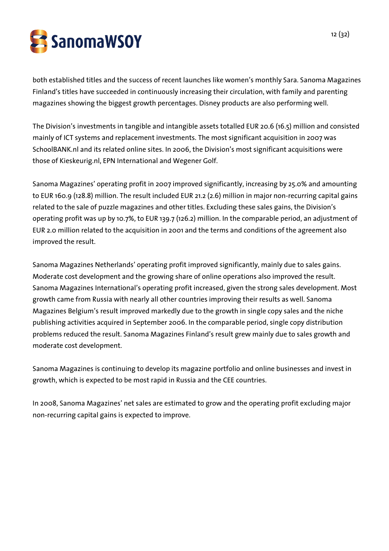

both established titles and the success of recent launches like women's monthly Sara. Sanoma Magazines Finland's titles have succeeded in continuously increasing their circulation, with family and parenting magazines showing the biggest growth percentages. Disney products are also performing well.

The Division's investments in tangible and intangible assets totalled EUR 20.6 (16.5) million and consisted mainly of ICT systems and replacement investments. The most significant acquisition in 2007 was SchoolBANK.nl and its related online sites. In 2006, the Division's most significant acquisitions were those of Kieskeurig.nl, EPN International and Wegener Golf.

Sanoma Magazines' operating profit in 2007 improved significantly, increasing by 25.0% and amounting to EUR 160.9 (128.8) million. The result included EUR 21.2 (2.6) million in major non-recurring capital gains related to the sale of puzzle magazines and other titles. Excluding these sales gains, the Division's operating profit was up by 10.7%, to EUR 139.7 (126.2) million. In the comparable period, an adjustment of EUR 2.0 million related to the acquisition in 2001 and the terms and conditions of the agreement also improved the result.

Sanoma Magazines Netherlands' operating profit improved significantly, mainly due to sales gains. Moderate cost development and the growing share of online operations also improved the result. Sanoma Magazines International's operating profit increased, given the strong sales development. Most growth came from Russia with nearly all other countries improving their results as well. Sanoma Magazines Belgium's result improved markedly due to the growth in single copy sales and the niche publishing activities acquired in September 2006. In the comparable period, single copy distribution problems reduced the result. Sanoma Magazines Finland's result grew mainly due to sales growth and moderate cost development.

Sanoma Magazines is continuing to develop its magazine portfolio and online businesses and invest in growth, which is expected to be most rapid in Russia and the CEE countries.

In 2008, Sanoma Magazines' net sales are estimated to grow and the operating profit excluding major non-recurring capital gains is expected to improve.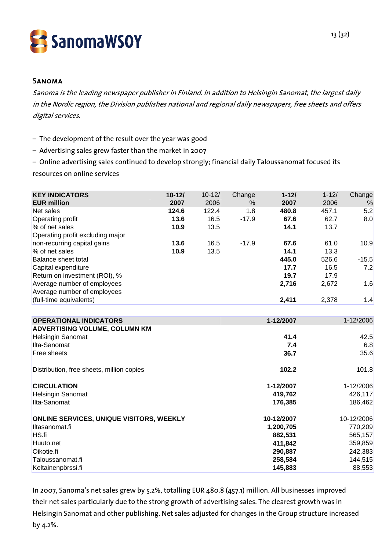

#### Sanoma

Sanoma is the leading newspaper publisher in Finland. In addition to Helsingin Sanomat, the largest daily in the Nordic region, the Division publishes national and regional daily newspapers, free sheets and offers digital services.

- The development of the result over the year was good
- Advertising sales grew faster than the market in 2007
- Online advertising sales continued to develop strongly; financial daily Taloussanomat focused its

resources on online services

| <b>KEY INDICATORS</b>                     | $10 - 12/$ | $10 - 12/$ | Change  | $1 - 12/$  | $1 - 12/$ | Change     |
|-------------------------------------------|------------|------------|---------|------------|-----------|------------|
| <b>EUR million</b>                        | 2007       | 2006       | %       | 2007       | 2006      | %          |
| Net sales                                 | 124.6      | 122.4      | 1.8     | 480.8      | 457.1     | 5.2        |
| Operating profit                          | 13.6       | 16.5       | $-17.9$ | 67.6       | 62.7      | 8.0        |
| % of net sales                            | 10.9       | 13.5       |         | 14.1       | 13.7      |            |
| Operating profit excluding major          |            |            |         |            |           |            |
| non-recurring capital gains               | 13.6       | 16.5       | $-17.9$ | 67.6       | 61.0      | 10.9       |
| % of net sales                            | 10.9       | 13.5       |         | 14.1       | 13.3      |            |
| Balance sheet total                       |            |            |         | 445.0      | 526.6     | $-15.5$    |
| Capital expenditure                       |            |            |         | 17.7       | 16.5      | 7.2        |
| Return on investment (ROI), %             |            |            |         | 19.7       | 17.9      |            |
| Average number of employees               |            |            |         | 2,716      | 2,672     | 1.6        |
| Average number of employees               |            |            |         |            |           |            |
| (full-time equivalents)                   |            |            |         | 2,411      | 2,378     | 1.4        |
|                                           |            |            |         |            |           |            |
| <b>OPERATIONAL INDICATORS</b>             |            |            |         | 1-12/2007  |           | 1-12/2006  |
| <b>ADVERTISING VOLUME, COLUMN KM</b>      |            |            |         |            |           |            |
| <b>Helsingin Sanomat</b>                  |            |            |         | 41.4       |           | 42.5       |
| Ilta-Sanomat                              |            |            |         | 7.4        |           | 6.8        |
| Free sheets                               |            |            |         | 36.7       |           | 35.6       |
| Distribution, free sheets, million copies |            |            |         | 102.2      |           | 101.8      |
| <b>CIRCULATION</b>                        |            |            |         | 1-12/2007  |           | 1-12/2006  |
| <b>Helsingin Sanomat</b>                  |            |            |         | 419,762    |           | 426,117    |
| Ilta-Sanomat                              |            |            |         | 176,385    |           | 186,462    |
| ONLINE SERVICES, UNIQUE VISITORS, WEEKLY  |            |            |         | 10-12/2007 |           | 10-12/2006 |
| Iltasanomat.fi                            |            |            |         | 1,200,705  |           | 770,209    |
| HS.fi                                     |            |            |         | 882,531    |           | 565,157    |
| Huuto.net                                 |            |            |         | 411,842    |           | 359,859    |
| Oikotie.fi                                |            |            |         | 290,887    |           | 242,383    |
| Taloussanomat.fi                          |            |            |         | 258,584    |           | 144,515    |
| Keltainenpörssi.fi                        |            |            |         | 145,883    |           | 88,553     |

In 2007, Sanoma's net sales grew by 5.2%, totalling EUR 480.8 (457.1) million. All businesses improved their net sales particularly due to the strong growth of advertising sales. The clearest growth was in Helsingin Sanomat and other publishing. Net sales adjusted for changes in the Group structure increased by 4.2%.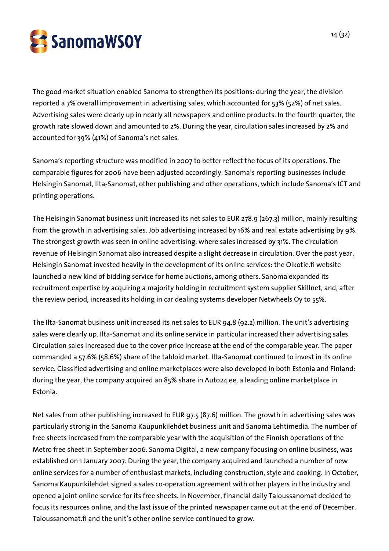

The good market situation enabled Sanoma to strengthen its positions: during the year, the division reported a 7% overall improvement in advertising sales, which accounted for 53% (52%) of net sales. Advertising sales were clearly up in nearly all newspapers and online products. In the fourth quarter, the growth rate slowed down and amounted to 2%. During the year, circulation sales increased by 2% and accounted for 39% (41%) of Sanoma's net sales.

Sanoma's reporting structure was modified in 2007 to better reflect the focus of its operations. The comparable figures for 2006 have been adjusted accordingly. Sanoma's reporting businesses include Helsingin Sanomat, Ilta-Sanomat, other publishing and other operations, which include Sanoma's ICT and printing operations.

The Helsingin Sanomat business unit increased its net sales to EUR 278.9 (267.3) million, mainly resulting from the growth in advertising sales. Job advertising increased by 16% and real estate advertising by 9%. The strongest growth was seen in online advertising, where sales increased by 31%. The circulation revenue of Helsingin Sanomat also increased despite a slight decrease in circulation. Over the past year, Helsingin Sanomat invested heavily in the development of its online services: the Oikotie.fi website launched a new kind of bidding service for home auctions, among others. Sanoma expanded its recruitment expertise by acquiring a majority holding in recruitment system supplier Skillnet, and, after the review period, increased its holding in car dealing systems developer Netwheels Oy to 55%.

The Ilta-Sanomat business unit increased its net sales to EUR 94.8 (92.2) million. The unit's advertising sales were clearly up. Ilta-Sanomat and its online service in particular increased their advertising sales. Circulation sales increased due to the cover price increase at the end of the comparable year. The paper commanded a 57.6% (58.6%) share of the tabloid market. Ilta-Sanomat continued to invest in its online service. Classified advertising and online marketplaces were also developed in both Estonia and Finland: during the year, the company acquired an 85% share in Auto24.ee, a leading online marketplace in Estonia.

Net sales from other publishing increased to EUR 97.5 (87.6) million. The growth in advertising sales was particularly strong in the Sanoma Kaupunkilehdet business unit and Sanoma Lehtimedia. The number of free sheets increased from the comparable year with the acquisition of the Finnish operations of the Metro free sheet in September 2006. Sanoma Digital, a new company focusing on online business, was established on 1 January 2007. During the year, the company acquired and launched a number of new online services for a number of enthusiast markets, including construction, style and cooking. In October, Sanoma Kaupunkilehdet signed a sales co-operation agreement with other players in the industry and opened a joint online service for its free sheets. In November, financial daily Taloussanomat decided to focus its resources online, and the last issue of the printed newspaper came out at the end of December. Taloussanomat.fi and the unit's other online service continued to grow.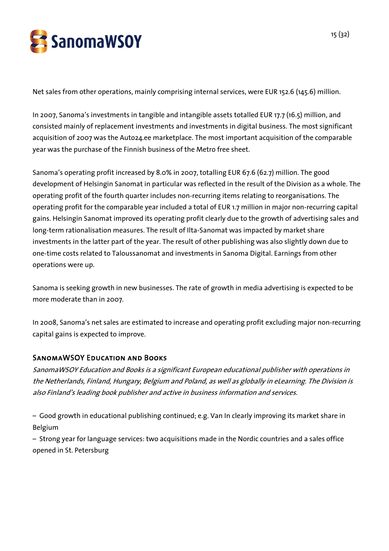

Net sales from other operations, mainly comprising internal services, were EUR 152.6 (145.6) million.

In 2007, Sanoma's investments in tangible and intangible assets totalled EUR 17.7 (16.5) million, and consisted mainly of replacement investments and investments in digital business. The most significant acquisition of 2007 was the Auto24.ee marketplace. The most important acquisition of the comparable year was the purchase of the Finnish business of the Metro free sheet.

Sanoma's operating profit increased by 8.0% in 2007, totalling EUR 67.6 (62.7) million. The good development of Helsingin Sanomat in particular was reflected in the result of the Division as a whole. The operating profit of the fourth quarter includes non-recurring items relating to reorganisations. The operating profit for the comparable year included a total of EUR 1.7 million in major non-recurring capital gains. Helsingin Sanomat improved its operating profit clearly due to the growth of advertising sales and long-term rationalisation measures. The result of Ilta-Sanomat was impacted by market share investments in the latter part of the year. The result of other publishing was also slightly down due to one-time costs related to Taloussanomat and investments in Sanoma Digital. Earnings from other operations were up.

Sanoma is seeking growth in new businesses. The rate of growth in media advertising is expected to be more moderate than in 2007.

In 2008, Sanoma's net sales are estimated to increase and operating profit excluding major non-recurring capital gains is expected to improve.

## SanomaWSOY Education and Books

SanomaWSOY Education and Books is a significant European educational publisher with operations in the Netherlands, Finland, Hungary, Belgium and Poland, as well as globally in eLearning. The Division is also Finland's leading book publisher and active in business information and services.

– Good growth in educational publishing continued; e.g. Van In clearly improving its market share in Belgium

– Strong year for language services: two acquisitions made in the Nordic countries and a sales office opened in St. Petersburg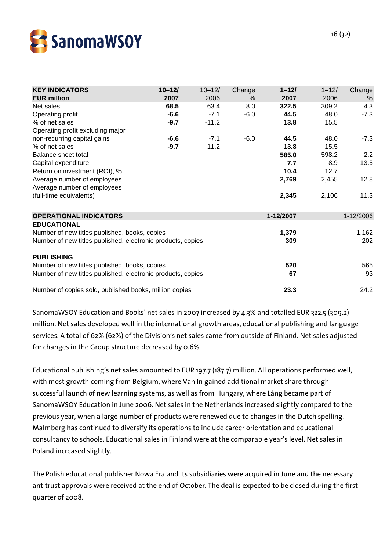

| <b>KEY INDICATORS</b>                                       | $10 - 12/$ | $10 - 12/$ | Change | $1 - 12/$ | $1 - 12/$ | Change    |
|-------------------------------------------------------------|------------|------------|--------|-----------|-----------|-----------|
| <b>EUR million</b>                                          | 2007       | 2006       | $\%$   | 2007      | 2006      | %         |
| Net sales                                                   | 68.5       | 63.4       | 8.0    | 322.5     | 309.2     | 4.3       |
| Operating profit                                            | $-6.6$     | $-7.1$     | $-6.0$ | 44.5      | 48.0      | $-7.3$    |
| % of net sales                                              | $-9.7$     | $-11.2$    |        | 13.8      | 15.5      |           |
| Operating profit excluding major                            |            |            |        |           |           |           |
| non-recurring capital gains                                 | $-6.6$     | $-7.1$     | $-6.0$ | 44.5      | 48.0      | $-7.3$    |
| % of net sales                                              | $-9.7$     | $-11.2$    |        | 13.8      | 15.5      |           |
| Balance sheet total                                         |            |            |        | 585.0     | 598.2     | $-2.2$    |
| Capital expenditure                                         |            |            |        | 7.7       | 8.9       | $-13.5$   |
| Return on investment (ROI), %                               |            |            |        | 10.4      | 12.7      |           |
| Average number of employees                                 |            |            |        | 2,769     | 2,455     | 12.8      |
| Average number of employees                                 |            |            |        |           |           |           |
| (full-time equivalents)                                     |            |            |        | 2,345     | 2,106     | 11.3      |
|                                                             |            |            |        |           |           |           |
| <b>OPERATIONAL INDICATORS</b>                               |            |            |        | 1-12/2007 |           | 1-12/2006 |
| <b>EDUCATIONAL</b>                                          |            |            |        |           |           |           |
| Number of new titles published, books, copies               |            |            |        | 1,379     |           | 1,162     |
| Number of new titles published, electronic products, copies |            |            |        | 309       |           | 202       |
| <b>PUBLISHING</b>                                           |            |            |        |           |           |           |
| Number of new titles published, books, copies               |            |            |        | 520       |           | 565       |
| Number of new titles published, electronic products, copies |            |            |        | 67        |           | 93        |
|                                                             |            |            |        |           |           |           |
| Number of copies sold, published books, million copies      |            |            |        | 23.3      |           | 24.2      |

SanomaWSOY Education and Books' net sales in 2007 increased by 4.3% and totalled EUR 322.5 (309.2) million. Net sales developed well in the international growth areas, educational publishing and language services. A total of 62% (62%) of the Division's net sales came from outside of Finland. Net sales adjusted for changes in the Group structure decreased by 0.6%.

Educational publishing's net sales amounted to EUR 197.7 (187.7) million. All operations performed well, with most growth coming from Belgium, where Van In gained additional market share through successful launch of new learning systems, as well as from Hungary, where Láng became part of SanomaWSOY Education in June 2006. Net sales in the Netherlands increased slightly compared to the previous year, when a large number of products were renewed due to changes in the Dutch spelling. Malmberg has continued to diversify its operations to include career orientation and educational consultancy to schools. Educational sales in Finland were at the comparable year's level. Net sales in Poland increased slightly.

The Polish educational publisher Nowa Era and its subsidiaries were acquired in June and the necessary antitrust approvals were received at the end of October. The deal is expected to be closed during the first quarter of 2008.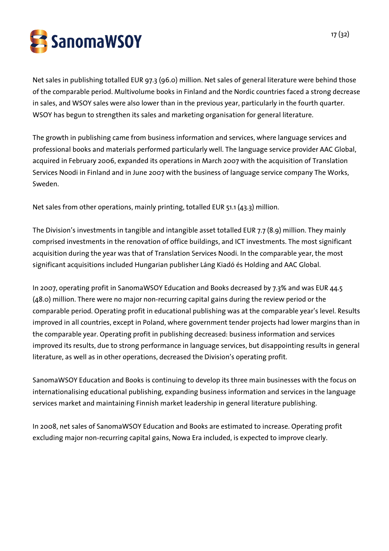

Net sales in publishing totalled EUR 97.3 (96.0) million. Net sales of general literature were behind those of the comparable period. Multivolume books in Finland and the Nordic countries faced a strong decrease in sales, and WSOY sales were also lower than in the previous year, particularly in the fourth quarter. WSOY has begun to strengthen its sales and marketing organisation for general literature.

The growth in publishing came from business information and services, where language services and professional books and materials performed particularly well. The language service provider AAC Global, acquired in February 2006, expanded its operations in March 2007 with the acquisition of Translation Services Noodi in Finland and in June 2007 with the business of language service company The Works, Sweden.

Net sales from other operations, mainly printing, totalled EUR 51.1 (43.3) million.

The Division's investments in tangible and intangible asset totalled EUR 7.7 (8.9) million. They mainly comprised investments in the renovation of office buildings, and ICT investments. The most significant acquisition during the year was that of Translation Services Noodi. In the comparable year, the most significant acquisitions included Hungarian publisher Láng Kiadó és Holding and AAC Global.

In 2007, operating profit in SanomaWSOY Education and Books decreased by 7.3% and was EUR 44.5 (48.0) million. There were no major non-recurring capital gains during the review period or the comparable period. Operating profit in educational publishing was at the comparable year's level. Results improved in all countries, except in Poland, where government tender projects had lower margins than in the comparable year. Operating profit in publishing decreased: business information and services improved its results, due to strong performance in language services, but disappointing results in general literature, as well as in other operations, decreased the Division's operating profit.

SanomaWSOY Education and Books is continuing to develop its three main businesses with the focus on internationalising educational publishing, expanding business information and services in the language services market and maintaining Finnish market leadership in general literature publishing.

In 2008, net sales of SanomaWSOY Education and Books are estimated to increase. Operating profit excluding major non-recurring capital gains, Nowa Era included, is expected to improve clearly.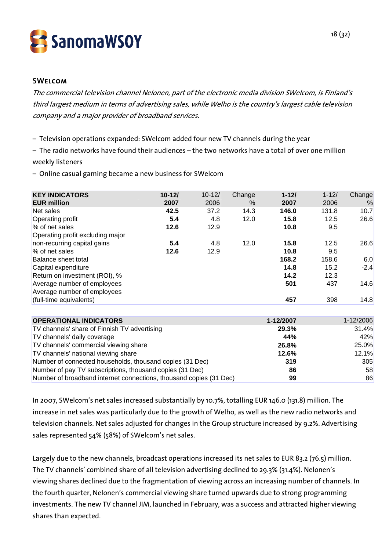

### **SWELCOM**

The commercial television channel Nelonen, part of the electronic media division SWelcom, is Finland's third largest medium in terms of advertising sales, while Welho is the country's largest cable television company and a major provider of broadband services.

– Television operations expanded: SWelcom added four new TV channels during the year

– The radio networks have found their audiences – the two networks have a total of over one million weekly listeners

– Online casual gaming became a new business for SWelcom

| <b>KEY INDICATORS</b><br><b>EUR million</b> | $10 - 121$<br>2007 | $10 - 12/$<br>2006 | Change<br>$\%$ | $1 - 12/$<br>2007 | $1 - 12/$<br>2006 | Change<br>% |
|---------------------------------------------|--------------------|--------------------|----------------|-------------------|-------------------|-------------|
| Net sales                                   | 42.5               | 37.2               | 14.3           | 146.0             | 131.8             | 10.7        |
| Operating profit                            | 5.4                | 4.8                | 12.0           | 15.8              | 12.5              | 26.6        |
| % of net sales                              | 12.6               | 12.9               |                | 10.8              | 9.5               |             |
| Operating profit excluding major            |                    |                    |                |                   |                   |             |
| non-recurring capital gains                 | 5.4                | 4.8                | 12.0           | 15.8              | 12.5              | 26.6        |
| % of net sales                              | 12.6               | 12.9               |                | 10.8              | 9.5               |             |
| Balance sheet total                         |                    |                    |                | 168.2             | 158.6             | 6.0         |
| Capital expenditure                         |                    |                    |                | 14.8              | 15.2              | $-2.4$      |
| Return on investment (ROI), %               |                    |                    |                | 14.2              | 12.3              |             |
| Average number of employees                 |                    |                    |                | 501               | 437               | 14.6        |
| Average number of employees                 |                    |                    |                |                   |                   |             |
| (full-time equivalents)                     |                    |                    |                | 457               | 398               | 14.8        |

| <b>OPERATIONAL INDICATORS</b>                                      | 1-12/2007 | $1 - 12/2006$ |
|--------------------------------------------------------------------|-----------|---------------|
| TV channels' share of Finnish TV advertising                       | 29.3%     | 31.4%         |
| TV channels' daily coverage                                        | 44%       | 42%           |
| TV channels' commercial viewing share                              | 26.8%     | 25.0%         |
| TV channels' national viewing share                                | 12.6%     | 12.1%         |
| Number of connected households, thousand copies (31 Dec)           | 319       | 305           |
| Number of pay TV subscriptions, thousand copies (31 Dec)           | 86        | 58            |
| Number of broadband internet connections, thousand copies (31 Dec) | 99        | 86            |

In 2007, SWelcom's net sales increased substantially by 10.7%, totalling EUR 146.0 (131.8) million. The increase in net sales was particularly due to the growth of Welho, as well as the new radio networks and television channels. Net sales adjusted for changes in the Group structure increased by 9.2%. Advertising sales represented 54% (58%) of SWelcom's net sales.

Largely due to the new channels, broadcast operations increased its net sales to EUR 83.2 (76.5) million. The TV channels' combined share of all television advertising declined to 29.3% (31.4%). Nelonen's viewing shares declined due to the fragmentation of viewing across an increasing number of channels. In the fourth quarter, Nelonen's commercial viewing share turned upwards due to strong programming investments. The new TV channel JIM, launched in February, was a success and attracted higher viewing shares than expected.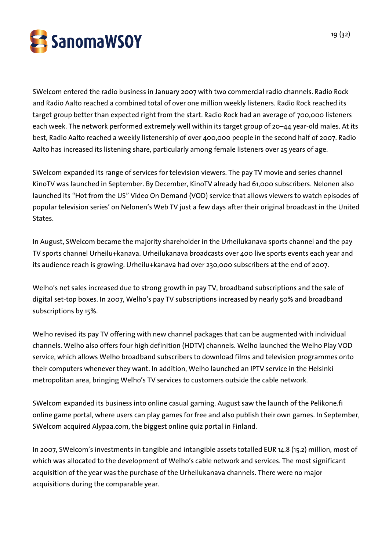

SWelcom entered the radio business in January 2007 with two commercial radio channels. Radio Rock and Radio Aalto reached a combined total of over one million weekly listeners. Radio Rock reached its target group better than expected right from the start. Radio Rock had an average of 700,000 listeners each week. The network performed extremely well within its target group of 20–44 year-old males. At its best, Radio Aalto reached a weekly listenership of over 400,000 people in the second half of 2007. Radio Aalto has increased its listening share, particularly among female listeners over 25 years of age.

SWelcom expanded its range of services for television viewers. The pay TV movie and series channel KinoTV was launched in September. By December, KinoTV already had 61,000 subscribers. Nelonen also launched its "Hot from the US" Video On Demand (VOD) service that allows viewers to watch episodes of popular television series' on Nelonen's Web TV just a few days after their original broadcast in the United States.

In August, SWelcom became the majority shareholder in the Urheilukanava sports channel and the pay TV sports channel Urheilu+kanava. Urheilukanava broadcasts over 400 live sports events each year and its audience reach is growing. Urheilu+kanava had over 230,000 subscribers at the end of 2007.

Welho's net sales increased due to strong growth in pay TV, broadband subscriptions and the sale of digital set-top boxes. In 2007, Welho's pay TV subscriptions increased by nearly 50% and broadband subscriptions by 15%.

Welho revised its pay TV offering with new channel packages that can be augmented with individual channels. Welho also offers four high definition (HDTV) channels. Welho launched the Welho Play VOD service, which allows Welho broadband subscribers to download films and television programmes onto their computers whenever they want. In addition, Welho launched an IPTV service in the Helsinki metropolitan area, bringing Welho's TV services to customers outside the cable network.

SWelcom expanded its business into online casual gaming. August saw the launch of the Pelikone.fi online game portal, where users can play games for free and also publish their own games. In September, SWelcom acquired Alypaa.com, the biggest online quiz portal in Finland.

In 2007, SWelcom's investments in tangible and intangible assets totalled EUR 14.8 (15.2) million, most of which was allocated to the development of Welho's cable network and services. The most significant acquisition of the year was the purchase of the Urheilukanava channels. There were no major acquisitions during the comparable year.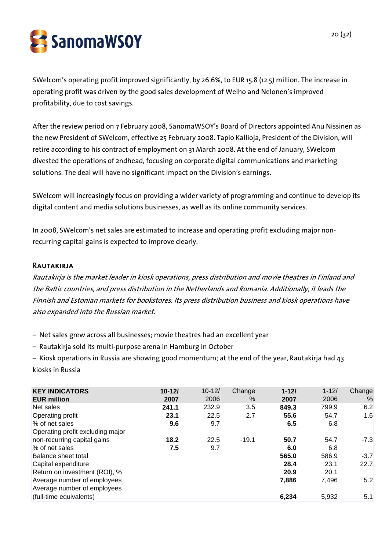

SWelcom's operating profit improved significantly, by 26.6%, to EUR 15.8 (12.5) million. The increase in operating profit was driven by the good sales development of Welho and Nelonen's improved profitability, due to cost savings.

After the review period on 7 February 2008, SanomaWSOY's Board of Directors appointed Anu Nissinen as the new President of SWelcom, effective 25 February 2008. Tapio Kallioja, President of the Division, will retire according to his contract of employment on 31 March 2008. At the end of January, SWelcom divested the operations of 2ndhead, focusing on corporate digital communications and marketing solutions. The deal will have no significant impact on the Division's earnings.

SWelcom will increasingly focus on providing a wider variety of programming and continue to develop its digital content and media solutions businesses, as well as its online community services.

In 2008, SWelcom's net sales are estimated to increase and operating profit excluding major nonrecurring capital gains is expected to improve clearly.

#### **RAUTAKIRJA**

Rautakirja is the market leader in kiosk operations, press distribution and movie theatres in Finland and the Baltic countries, and press distribution in the Netherlands and Romania. Additionally, it leads the Finnish and Estonian markets for bookstores. Its press distribution business and kiosk operations have also expanded into the Russian market.

– Net sales grew across all businesses; movie theatres had an excellent year

– Rautakirja sold its multi-purpose arena in Hamburg in October

– Kiosk operations in Russia are showing good momentum; at the end of the year, Rautakirja had 43 kiosks in Russia

| <b>KEY INDICATORS</b>            | $10 - 121$ | $10 - 12/$ | Change  | $1 - 121$ | $1 - 12/$ | Change |
|----------------------------------|------------|------------|---------|-----------|-----------|--------|
| <b>EUR million</b>               | 2007       | 2006       | %       | 2007      | 2006      | %      |
| Net sales                        | 241.1      | 232.9      | 3.5     | 849.3     | 799.9     | 6.2    |
| Operating profit                 | 23.1       | 22.5       | 2.7     | 55.6      | 54.7      | 1.6    |
| % of net sales                   | 9.6        | 9.7        |         | 6.5       | 6.8       |        |
| Operating profit excluding major |            |            |         |           |           |        |
| non-recurring capital gains      | 18.2       | 22.5       | $-19.1$ | 50.7      | 54.7      | $-7.3$ |
| % of net sales                   | 7.5        | 9.7        |         | 6.0       | 6.8       |        |
| Balance sheet total              |            |            |         | 565.0     | 586.9     | $-3.7$ |
| Capital expenditure              |            |            |         | 28.4      | 23.1      | 22.7   |
| Return on investment (ROI), %    |            |            |         | 20.9      | 20.1      |        |
| Average number of employees      |            |            |         | 7,886     | 7,496     | 5.2    |
| Average number of employees      |            |            |         |           |           |        |
| (full-time equivalents)          |            |            |         | 6.234     | 5,932     | 5.1    |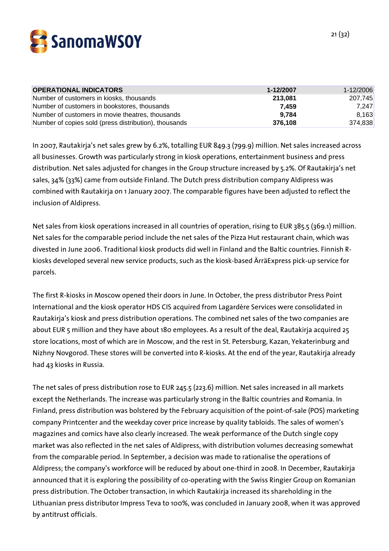

| <b>OPERATIONAL INDICATORS</b>                         | 1-12/2007 | 1-12/2006 |
|-------------------------------------------------------|-----------|-----------|
| Number of customers in kiosks, thousands              | 213,081   | 207.745   |
| Number of customers in bookstores, thousands          | 7.459     | 7,247     |
| Number of customers in movie theatres, thousands      | 9.784     | 8,163     |
| Number of copies sold (press distribution), thousands | 376.108   | 374,838   |

In 2007, Rautakirja's net sales grew by 6.2%, totalling EUR 849.3 (799.9) million. Net sales increased across all businesses. Growth was particularly strong in kiosk operations, entertainment business and press distribution. Net sales adjusted for changes in the Group structure increased by 5.2%. Of Rautakirja's net sales, 34% (33%) came from outside Finland. The Dutch press distribution company Aldipress was combined with Rautakirja on 1 January 2007. The comparable figures have been adjusted to reflect the inclusion of Aldipress.

Net sales from kiosk operations increased in all countries of operation, rising to EUR 385.5 (369.1) million. Net sales for the comparable period include the net sales of the Pizza Hut restaurant chain, which was divested in June 2006. Traditional kiosk products did well in Finland and the Baltic countries. Finnish Rkiosks developed several new service products, such as the kiosk-based ÄrräExpress pick-up service for parcels.

The first R-kiosks in Moscow opened their doors in June. In October, the press distributor Press Point International and the kiosk operator HDS CIS acquired from Lagardère Services were consolidated in Rautakirja's kiosk and press distribution operations. The combined net sales of the two companies are about EUR 5 million and they have about 180 employees. As a result of the deal, Rautakirja acquired 25 store locations, most of which are in Moscow, and the rest in St. Petersburg, Kazan, Yekaterinburg and Nizhny Novgorod. These stores will be converted into R-kiosks. At the end of the year, Rautakirja already had 43 kiosks in Russia.

The net sales of press distribution rose to EUR 245.5 (223.6) million. Net sales increased in all markets except the Netherlands. The increase was particularly strong in the Baltic countries and Romania. In Finland, press distribution was bolstered by the February acquisition of the point-of-sale (POS) marketing company Printcenter and the weekday cover price increase by quality tabloids. The sales of women's magazines and comics have also clearly increased. The weak performance of the Dutch single copy market was also reflected in the net sales of Aldipress, with distribution volumes decreasing somewhat from the comparable period. In September, a decision was made to rationalise the operations of Aldipress; the company's workforce will be reduced by about one-third in 2008. In December, Rautakirja announced that it is exploring the possibility of co-operating with the Swiss Ringier Group on Romanian press distribution. The October transaction, in which Rautakirja increased its shareholding in the Lithuanian press distributor Impress Teva to 100%, was concluded in January 2008, when it was approved by antitrust officials.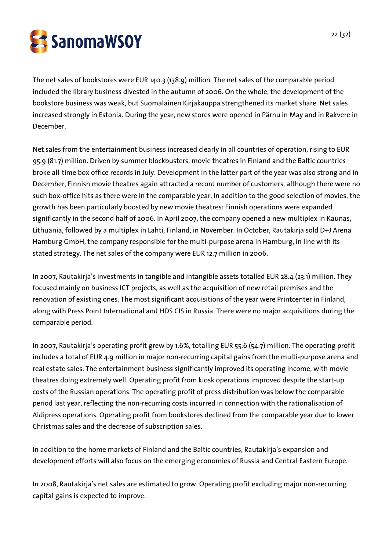

The net sales of bookstores were EUR 140.3 (138.9) million. The net sales of the comparable period included the library business divested in the autumn of 2006. On the whole, the development of the bookstore business was weak, but Suomalainen Kirjakauppa strengthened its market share. Net sales increased strongly in Estonia. During the year, new stores were opened in Pärnu in May and in Rakvere in December.

Net sales from the entertainment business increased clearly in all countries of operation, rising to EUR 95.9 (81.7) million. Driven by summer blockbusters, movie theatres in Finland and the Baltic countries broke all-time box office records in July. Development in the latter part of the year was also strong and in December, Finnish movie theatres again attracted a record number of customers, although there were no such box-office hits as there were in the comparable year. In addition to the good selection of movies, the growth has been particularly boosted by new movie theatres: Finnish operations were expanded significantly in the second half of 2006. In April 2007, the company opened a new multiplex in Kaunas, Lithuania, followed by a multiplex in Lahti, Finland, in November. In October, Rautakirja sold D+J Arena Hamburg GmbH, the company responsible for the multi-purpose arena in Hamburg, in line with its stated strategy. The net sales of the company were EUR 12.7 million in 2006.

In 2007, Rautakirja's investments in tangible and intangible assets totalled EUR 28.4 (23.1) million. They focused mainly on business ICT projects, as well as the acquisition of new retail premises and the renovation of existing ones. The most significant acquisitions of the year were Printcenter in Finland, along with Press Point International and HDS CIS in Russia. There were no major acquisitions during the comparable period.

In 2007, Rautakirja's operating profit grew by 1.6%, totalling EUR 55.6 (54.7) million. The operating profit includes a total of EUR 4.9 million in major non-recurring capital gains from the multi-purpose arena and real estate sales. The entertainment business significantly improved its operating income, with movie theatres doing extremely well. Operating profit from kiosk operations improved despite the start-up costs of the Russian operations. The operating profit of press distribution was below the comparable period last year, reflecting the non-recurring costs incurred in connection with the rationalisation of Aldipress operations. Operating profit from bookstores declined from the comparable year due to lower Christmas sales and the decrease of subscription sales.

In addition to the home markets of Finland and the Baltic countries, Rautakirja's expansion and development efforts will also focus on the emerging economies of Russia and Central Eastern Europe.

In 2008, Rautakirja's net sales are estimated to grow. Operating profit excluding major non-recurring capital gains is expected to improve.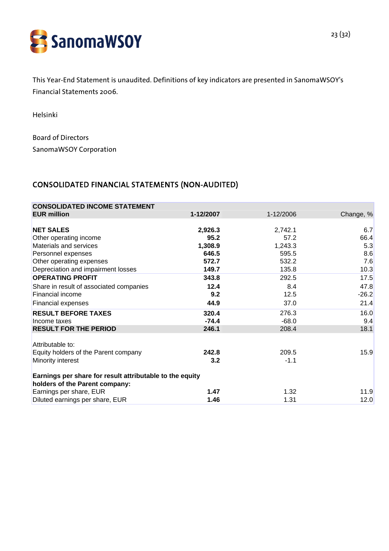

This Year-End Statement is unaudited. Definitions of key indicators are presented in SanomaWSOY's Financial Statements 2006.

Helsinki

Board of Directors SanomaWSOY Corporation

## CONSOLIDATED FINANCIAL STATEMENTS (NON-AUDITED)

| <b>CONSOLIDATED INCOME STATEMENT</b>                                                       |           |           |           |
|--------------------------------------------------------------------------------------------|-----------|-----------|-----------|
| <b>EUR million</b>                                                                         | 1-12/2007 | 1-12/2006 | Change, % |
|                                                                                            |           |           |           |
| <b>NET SALES</b>                                                                           | 2,926.3   | 2,742.1   | 6.7       |
| Other operating income                                                                     | 95.2      | 57.2      | 66.4      |
| Materials and services                                                                     | 1,308.9   | 1,243.3   | 5.3       |
| Personnel expenses                                                                         | 646.5     | 595.5     | 8.6       |
| Other operating expenses                                                                   | 572.7     | 532.2     | 7.6       |
| Depreciation and impairment losses                                                         | 149.7     | 135.8     | 10.3      |
| <b>OPERATING PROFIT</b>                                                                    | 343.8     | 292.5     | 17.5      |
| Share in result of associated companies                                                    | 12.4      | 8.4       | 47.8      |
| Financial income                                                                           | 9.2       | 12.5      | $-26.2$   |
| Financial expenses                                                                         | 44.9      | 37.0      | 21.4      |
| <b>RESULT BEFORE TAXES</b>                                                                 | 320.4     | 276.3     | 16.0      |
| Income taxes                                                                               | $-74.4$   | $-68.0$   | 9.4       |
| <b>RESULT FOR THE PERIOD</b>                                                               | 246.1     | 208.4     | 18.1      |
| Attributable to:                                                                           |           |           |           |
| Equity holders of the Parent company                                                       | 242.8     | 209.5     | 15.9      |
| Minority interest                                                                          | 3.2       | $-1.1$    |           |
| Earnings per share for result attributable to the equity<br>holders of the Parent company: |           |           |           |
| Earnings per share, EUR                                                                    | 1.47      | 1.32      | 11.9      |
| Diluted earnings per share, EUR                                                            | 1.46      | 1.31      | 12.0      |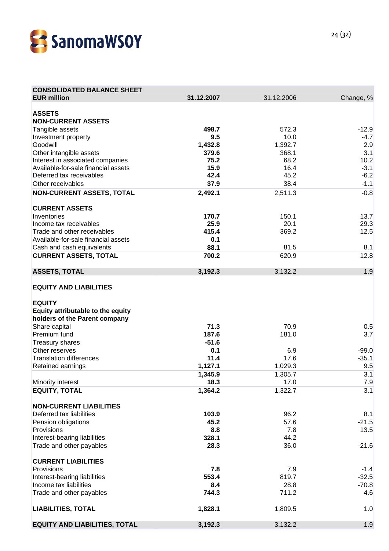

| <b>CONSOLIDATED BALANCE SHEET</b>    |                  |                  |            |
|--------------------------------------|------------------|------------------|------------|
| <b>EUR million</b>                   | 31.12.2007       | 31.12.2006       | Change, %  |
|                                      |                  |                  |            |
| <b>ASSETS</b>                        |                  |                  |            |
| <b>NON-CURRENT ASSETS</b>            |                  |                  |            |
| Tangible assets                      | 498.7            | 572.3            | $-12.9$    |
| Investment property                  | 9.5              | 10.0             | $-4.7$     |
| Goodwill<br>Other intangible assets  | 1,432.8<br>379.6 | 1,392.7<br>368.1 | 2.9<br>3.1 |
| Interest in associated companies     | 75.2             | 68.2             | 10.2       |
| Available-for-sale financial assets  | 15.9             | 16.4             | $-3.1$     |
| Deferred tax receivables             | 42.4             | 45.2             | $-6.2$     |
| Other receivables                    | 37.9             | 38.4             | $-1.1$     |
| <b>NON-CURRENT ASSETS, TOTAL</b>     | 2,492.1          | 2,511.3          | $-0.8$     |
|                                      |                  |                  |            |
| <b>CURRENT ASSETS</b>                |                  |                  |            |
| Inventories                          | 170.7            | 150.1            | 13.7       |
| Income tax receivables               | 25.9             | 20.1             | 29.3       |
| Trade and other receivables          | 415.4            | 369.2            | 12.5       |
| Available-for-sale financial assets  | 0.1              |                  |            |
| Cash and cash equivalents            | 88.1             | 81.5             | 8.1        |
| <b>CURRENT ASSETS, TOTAL</b>         | 700.2            | 620.9            | 12.8       |
|                                      |                  |                  |            |
| <b>ASSETS, TOTAL</b>                 | 3,192.3          | 3,132.2          | 1.9        |
|                                      |                  |                  |            |
| <b>EQUITY AND LIABILITIES</b>        |                  |                  |            |
|                                      |                  |                  |            |
| <b>EQUITY</b>                        |                  |                  |            |
| Equity attributable to the equity    |                  |                  |            |
| holders of the Parent company        |                  |                  |            |
| Share capital                        | 71.3             | 70.9             | 0.5        |
| Premium fund                         | 187.6            | 181.0            | 3.7        |
| <b>Treasury shares</b>               | $-51.6$          |                  |            |
| Other reserves                       | 0.1              | 6.9              | $-99.0$    |
| <b>Translation differences</b>       | 11.4             | 17.6             | $-35.1$    |
| Retained earnings                    | 1,127.1          | 1,029.3          | 9.5        |
|                                      | 1,345.9          | 1,305.7          | 3.1        |
| Minority interest                    | 18.3             | 17.0             | 7.9        |
| <b>EQUITY, TOTAL</b>                 | 1,364.2          | 1,322.7          | 3.1        |
| <b>NON-CURRENT LIABILITIES</b>       |                  |                  |            |
| Deferred tax liabilities             | 103.9            | 96.2             | 8.1        |
| Pension obligations                  | 45.2             | 57.6             | $-21.5$    |
| Provisions                           | 8.8              | 7.8              | 13.5       |
| Interest-bearing liabilities         | 328.1            | 44.2             |            |
| Trade and other payables             | 28.3             | 36.0             | $-21.6$    |
|                                      |                  |                  |            |
| <b>CURRENT LIABILITIES</b>           |                  |                  |            |
| Provisions                           | 7.8              | 7.9              | $-1.4$     |
| Interest-bearing liabilities         | 553.4            | 819.7            | $-32.5$    |
| Income tax liabilities               | 8.4              | 28.8             | $-70.8$    |
| Trade and other payables             | 744.3            | 711.2            | 4.6        |
|                                      |                  |                  |            |
| <b>LIABILITIES, TOTAL</b>            | 1,828.1          | 1,809.5          | 1.0        |
|                                      |                  |                  |            |
| <b>EQUITY AND LIABILITIES, TOTAL</b> | 3,192.3          | 3,132.2          | 1.9        |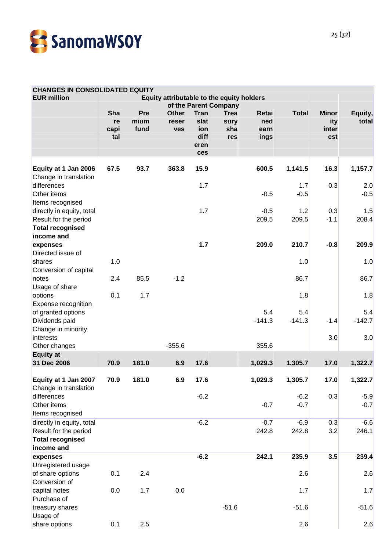

#### **CHANGES IN CONSOLIDATED EQUITY**

| <b>EUR million</b>                                                                                              | Equity attributable to the equity holders<br>of the Parent Company |                     |                                     |                                            |                                   |                              |                  |                                     |                  |
|-----------------------------------------------------------------------------------------------------------------|--------------------------------------------------------------------|---------------------|-------------------------------------|--------------------------------------------|-----------------------------------|------------------------------|------------------|-------------------------------------|------------------|
|                                                                                                                 | Sha<br>re<br>capi<br>tal                                           | Pre<br>mium<br>fund | <b>Other</b><br>reser<br><b>ves</b> | Tran<br>slat<br>ion<br>diff<br>eren<br>ces | <b>Trea</b><br>sury<br>sha<br>res | Retai<br>ned<br>earn<br>ings | <b>Total</b>     | <b>Minor</b><br>ity<br>inter<br>est | Equity,<br>total |
| Equity at 1 Jan 2006                                                                                            | 67.5                                                               | 93.7                | 363.8                               | 15.9                                       |                                   | 600.5                        | 1,141.5          | 16.3                                | 1,157.7          |
| Change in translation<br>differences<br>Other items                                                             |                                                                    |                     |                                     | 1.7                                        |                                   | $-0.5$                       | 1.7<br>$-0.5$    | 0.3                                 | 2.0<br>$-0.5$    |
| Items recognised<br>directly in equity, total<br>Result for the period<br><b>Total recognised</b><br>income and |                                                                    |                     |                                     | 1.7                                        |                                   | $-0.5$<br>209.5              | 1.2<br>209.5     | 0.3<br>$-1.1$                       | 1.5<br>208.4     |
| expenses<br>Directed issue of                                                                                   |                                                                    |                     |                                     | 1.7                                        |                                   | 209.0                        | 210.7            | $-0.8$                              | 209.9            |
| shares<br>Conversion of capital                                                                                 | 1.0                                                                |                     |                                     |                                            |                                   |                              | 1.0              |                                     | 1.0              |
| notes<br>Usage of share                                                                                         | 2.4                                                                | 85.5                | $-1.2$                              |                                            |                                   |                              | 86.7             |                                     | 86.7             |
| options<br>Expense recognition                                                                                  | 0.1                                                                | 1.7                 |                                     |                                            |                                   |                              | 1.8              |                                     | 1.8              |
| of granted options<br>Dividends paid<br>Change in minority                                                      |                                                                    |                     |                                     |                                            |                                   | 5.4<br>$-141.3$              | 5.4<br>$-141.3$  | $-1.4$                              | 5.4<br>$-142.7$  |
| interests<br>Other changes                                                                                      |                                                                    |                     | $-355.6$                            |                                            |                                   | 355.6                        |                  | 3.0                                 | 3.0              |
| <b>Equity at</b><br>31 Dec 2006                                                                                 | 70.9                                                               | 181.0               | 6.9                                 | 17.6                                       |                                   | 1,029.3                      | 1,305.7          | 17.0                                | 1,322.7          |
| Equity at 1 Jan 2007<br>Change in translation                                                                   | 70.9                                                               | 181.0               | 6.9                                 | 17.6                                       |                                   | 1,029.3                      | 1,305.7          | 17.0                                | 1,322.7          |
| differences<br>Other items<br>Items recognised                                                                  |                                                                    |                     |                                     | $-6.2$                                     |                                   | $-0.7$                       | $-6.2$<br>$-0.7$ | 0.3                                 | $-5.9$<br>$-0.7$ |
| directly in equity, total<br>Result for the period<br><b>Total recognised</b><br>income and                     |                                                                    |                     |                                     | $-6.2$                                     |                                   | $-0.7$<br>242.8              | $-6.9$<br>242.8  | 0.3<br>3.2                          | $-6.6$<br>246.1  |
| expenses                                                                                                        |                                                                    |                     |                                     | $-6.2$                                     |                                   | 242.1                        | 235.9            | 3.5                                 | 239.4            |
| Unregistered usage<br>of share options<br>Conversion of                                                         | 0.1                                                                | 2.4                 |                                     |                                            |                                   |                              | 2.6              |                                     | 2.6              |
| capital notes<br>Purchase of                                                                                    | 0.0                                                                | 1.7                 | 0.0                                 |                                            |                                   |                              | 1.7              |                                     | 1.7              |
| treasury shares<br>Usage of                                                                                     |                                                                    |                     |                                     |                                            | $-51.6$                           |                              | $-51.6$          |                                     | $-51.6$          |
| share options                                                                                                   | 0.1                                                                | 2.5                 |                                     |                                            |                                   |                              | 2.6              |                                     | 2.6              |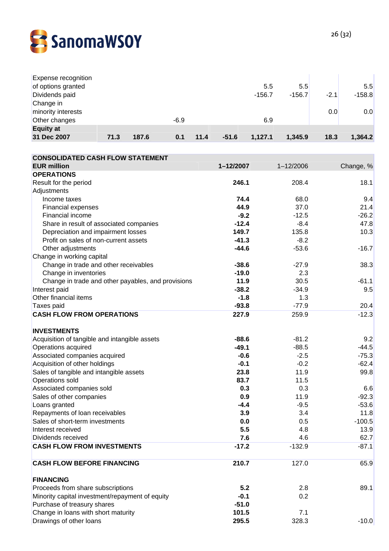

| Expense recognition |      |       |        |      |         |          |          |        |          |
|---------------------|------|-------|--------|------|---------|----------|----------|--------|----------|
| of options granted  |      |       |        |      |         | 5.5      | 5.5      |        | 5.5      |
| Dividends paid      |      |       |        |      |         | $-156.7$ | $-156.7$ | $-2.1$ | $-158.8$ |
| Change in           |      |       |        |      |         |          |          |        |          |
| minority interests  |      |       |        |      |         |          |          | 0.0    | 0.0      |
| Other changes       |      |       | $-6.9$ |      |         | 6.9      |          |        |          |
| <b>Equity at</b>    |      |       |        |      |         |          |          |        |          |
| 31 Dec 2007         | 71.3 | 187.6 | 0.1    | 11.4 | $-51.6$ | 1,127.1  | 1,345.9  | 18.3   | 1,364.2  |

| <b>CONSOLIDATED CASH FLOW STATEMENT</b>            |           |               |           |
|----------------------------------------------------|-----------|---------------|-----------|
| <b>EUR million</b>                                 | 1-12/2007 | $1 - 12/2006$ | Change, % |
| <b>OPERATIONS</b>                                  |           |               |           |
| Result for the period                              | 246.1     | 208.4         | 18.1      |
| Adjustments                                        |           |               |           |
| Income taxes                                       | 74.4      | 68.0          | 9.4       |
| <b>Financial expenses</b>                          | 44.9      | 37.0          | 21.4      |
| Financial income                                   | $-9.2$    | $-12.5$       | $-26.2$   |
| Share in result of associated companies            | $-12.4$   | $-8.4$        | 47.8      |
| Depreciation and impairment losses                 | 149.7     | 135.8         | 10.3      |
| Profit on sales of non-current assets              | $-41.3$   | $-8.2$        |           |
| Other adjustments                                  | $-44.6$   | $-53.6$       | $-16.7$   |
| Change in working capital                          |           |               |           |
| Change in trade and other receivables              | $-38.6$   | $-27.9$       | 38.3      |
| Change in inventories                              | $-19.0$   | 2.3           |           |
| Change in trade and other payables, and provisions | 11.9      | 30.5          | $-61.1$   |
| Interest paid                                      | $-38.2$   | $-34.9$       | 9.5       |
| Other financial items                              | $-1.8$    | 1.3           |           |
| Taxes paid                                         | $-93.8$   | $-77.9$       | 20.4      |
| <b>CASH FLOW FROM OPERATIONS</b>                   | 227.9     | 259.9         | $-12.3$   |
| <b>INVESTMENTS</b>                                 |           |               |           |
| Acquisition of tangible and intangible assets      | $-88.6$   | $-81.2$       | 9.2       |
| Operations acquired                                | $-49.1$   | $-88.5$       | $-44.5$   |
| Associated companies acquired                      | $-0.6$    | $-2.5$        | $-75.3$   |
| Acquisition of other holdings                      | $-0.1$    | $-0.2$        | $-62.4$   |
| Sales of tangible and intangible assets            | 23.8      | 11.9          | 99.8      |
| Operations sold                                    | 83.7      | 11.5          |           |
| Associated companies sold                          | 0.3       | 0.3           | 6.6       |
| Sales of other companies                           | 0.9       | 11.9          | $-92.3$   |
| Loans granted                                      | $-4.4$    | $-9.5$        | $-53.6$   |
| Repayments of loan receivables                     | 3.9       | 3.4           | 11.8      |
| Sales of short-term investments                    | 0.0       | 0.5           | $-100.5$  |
| Interest received                                  | 5.5       | 4.8           | 13.9      |
| Dividends received                                 | 7.6       | 4.6           | 62.7      |
| <b>CASH FLOW FROM INVESTMENTS</b>                  | $-17.2$   | $-132.9$      | $-87.1$   |
| <b>CASH FLOW BEFORE FINANCING</b>                  | 210.7     | 127.0         | 65.9      |
| <b>FINANCING</b>                                   |           |               |           |
| Proceeds from share subscriptions                  | 5.2       | 2.8           | 89.1      |
| Minority capital investment/repayment of equity    | $-0.1$    | 0.2           |           |
| Purchase of treasury shares                        | $-51.0$   |               |           |
| Change in loans with short maturity                | 101.5     | 7.1           |           |
| Drawings of other loans                            | 295.5     | 328.3         | $-10.0$   |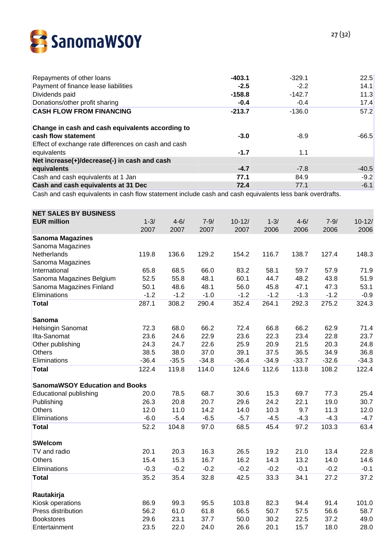

| Repayments of other loans                            | $-403.1$ | $-329.1$ | 22.5    |
|------------------------------------------------------|----------|----------|---------|
| Payment of finance lease liabilities                 | $-2.5$   | $-2.2$   | 14.1    |
| Dividends paid                                       | $-158.8$ | $-142.7$ | 11.3    |
| Donations/other profit sharing                       | $-0.4$   | $-0.4$   | 17.4    |
| <b>CASH FLOW FROM FINANCING</b>                      | $-213.7$ | $-136.0$ | 57.2    |
| Change in cash and cash equivalents according to     |          |          |         |
| cash flow statement                                  | $-3.0$   | $-8.9$   | $-66.5$ |
| Effect of exchange rate differences on cash and cash |          |          |         |
| equivalents                                          | $-1.7$   | 1.1      |         |
| Net increase(+)/decrease(-) in cash and cash         |          |          |         |
| equivalents                                          | $-4.7$   | $-7.8$   | $-40.5$ |
| Cash and cash equivalents at 1 Jan                   | 77.1     | 84.9     | $-9.2$  |
| Cash and cash equivalents at 31 Dec                  | 72.4     | 77.1     | $-6.1$  |

Cash and cash equivalents in cash flow statement include cash and cash equivalents less bank overdrafts.

| $10 - 12/$<br>2006 |
|--------------------|
|                    |
|                    |
|                    |
|                    |
| 148.3              |
|                    |
| 71.9               |
| 51.9               |
| 53.1               |
| $-0.9$             |
| 324.3              |
|                    |
| 71.4               |
| 23.7               |
| 24.8               |
| 36.8               |
| $-34.3$            |
| 122.4              |
|                    |
| 25.4               |
| 30.7               |
| 12.0               |
| $-4.7$             |
| 63.4               |
|                    |
| 22.8               |
| 14.6               |
| $-0.1$             |
| 37.2               |
|                    |
| 101.0              |
| 58.7               |
| 49.0               |
| 28.0               |
|                    |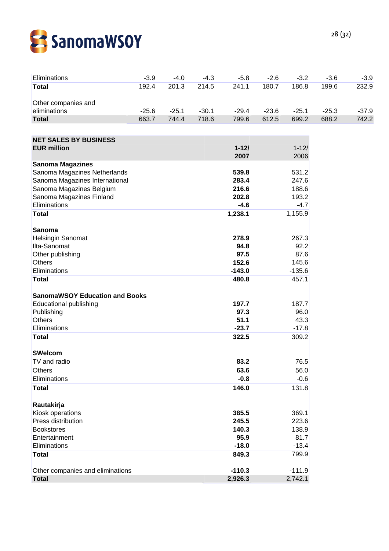

| Eliminations                             | $-3.9$  | $-4.0$  | $-4.3$  | $-5.8$            | $-2.6$  | $-3.2$            | $-3.6$  | $-3.9$  |
|------------------------------------------|---------|---------|---------|-------------------|---------|-------------------|---------|---------|
| <b>Total</b>                             | 192.4   | 201.3   | 214.5   | 241.1             | 180.7   | 186.8             | 199.6   | 232.9   |
| Other companies and                      |         |         |         |                   |         |                   |         |         |
| eliminations                             | $-25.6$ | $-25.1$ | $-30.1$ | $-29.4$           | $-23.6$ | $-25.1$           | $-25.3$ | $-37.9$ |
| <b>Total</b>                             | 663.7   | 744.4   | 718.6   | 799.6             | 612.5   | 699.2             | 688.2   | 742.2   |
|                                          |         |         |         |                   |         |                   |         |         |
| <b>NET SALES BY BUSINESS</b>             |         |         |         |                   |         |                   |         |         |
| <b>EUR million</b>                       |         |         |         | $1 - 121$<br>2007 |         | $1 - 12/$<br>2006 |         |         |
| <b>Sanoma Magazines</b>                  |         |         |         |                   |         |                   |         |         |
| Sanoma Magazines Netherlands             |         |         |         | 539.8             |         | 531.2             |         |         |
| Sanoma Magazines International           |         |         |         | 283.4             |         | 247.6             |         |         |
| Sanoma Magazines Belgium                 |         |         |         | 216.6             |         | 188.6             |         |         |
| Sanoma Magazines Finland<br>Eliminations |         |         |         | 202.8<br>$-4.6$   |         | 193.2             |         |         |
| <b>Total</b>                             |         |         |         | 1,238.1           |         | $-4.7$<br>1,155.9 |         |         |
|                                          |         |         |         |                   |         |                   |         |         |
| <b>Sanoma</b>                            |         |         |         |                   |         |                   |         |         |
| Helsingin Sanomat                        |         |         |         | 278.9             |         | 267.3             |         |         |
| Ilta-Sanomat                             |         |         |         | 94.8              |         | 92.2              |         |         |
| Other publishing                         |         |         |         | 97.5              |         | 87.6              |         |         |
| <b>Others</b>                            |         |         |         | 152.6             |         | 145.6             |         |         |
| Eliminations                             |         |         |         | $-143.0$          |         | $-135.6$          |         |         |
| <b>Total</b>                             |         |         |         | 480.8             |         | 457.1             |         |         |
| <b>SanomaWSOY Education and Books</b>    |         |         |         |                   |         |                   |         |         |
| <b>Educational publishing</b>            |         |         |         | 197.7             |         | 187.7             |         |         |
| Publishing                               |         |         |         | 97.3              |         | 96.0              |         |         |
| <b>Others</b>                            |         |         |         | 51.1              |         | 43.3              |         |         |
| Eliminations                             |         |         |         | $-23.7$           |         | $-17.8$           |         |         |
| <b>Total</b>                             |         |         |         | 322.5             |         | 309.2             |         |         |
| <b>SWelcom</b>                           |         |         |         |                   |         |                   |         |         |
| TV and radio                             |         |         |         | 83.2              |         | 76.5              |         |         |
| Others                                   |         |         |         | 63.6              |         | 56.0              |         |         |
| Eliminations                             |         |         |         | $-0.8$            |         | $-0.6$            |         |         |
| <b>Total</b>                             |         |         |         | 146.0             |         | 131.8             |         |         |
| Rautakirja                               |         |         |         |                   |         |                   |         |         |
| Kiosk operations                         |         |         |         | 385.5             |         | 369.1             |         |         |
| Press distribution                       |         |         |         | 245.5             |         | 223.6             |         |         |
| <b>Bookstores</b>                        |         |         |         | 140.3             |         | 138.9             |         |         |
| Entertainment                            |         |         |         | 95.9              |         | 81.7              |         |         |
| Eliminations                             |         |         |         | $-18.0$           |         | $-13.4$           |         |         |
| <b>Total</b>                             |         |         |         | 849.3             |         | 799.9             |         |         |
| Other companies and eliminations         |         |         |         | $-110.3$          |         | $-111.9$          |         |         |
| <b>Total</b>                             |         |         |         | 2,926.3           |         | 2,742.1           |         |         |
|                                          |         |         |         |                   |         |                   |         |         |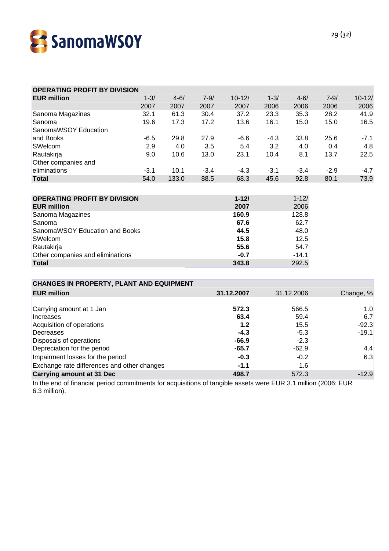

| <b>OPERATING PROFIT BY DIVISION</b>             |          |          |          |            |          |            |          |            |
|-------------------------------------------------|----------|----------|----------|------------|----------|------------|----------|------------|
| <b>EUR million</b>                              | $1 - 3/$ | $4 - 6/$ | $7 - 9/$ | $10 - 12/$ | $1 - 3/$ | $4 - 6/$   | $7 - 9/$ | $10 - 12/$ |
|                                                 | 2007     | 2007     | 2007     | 2007       | 2006     | 2006       | 2006     | 2006       |
| Sanoma Magazines                                | 32.1     | 61.3     | 30.4     | 37.2       | 23.3     | 35.3       | 28.2     | 41.9       |
| Sanoma                                          | 19.6     | 17.3     | 17.2     | 13.6       | 16.1     | 15.0       | 15.0     | 16.5       |
| SanomaWSOY Education                            |          |          |          |            |          |            |          |            |
| and Books                                       | $-6.5$   | 29.8     | 27.9     | $-6.6$     | $-4.3$   | 33.8       | 25.6     | $-7.1$     |
| SWelcom                                         | 2.9      | 4.0      | 3.5      | 5.4        | 3.2      | 4.0        | 0.4      | 4.8        |
| Rautakirja                                      | 9.0      | 10.6     | 13.0     | 23.1       | 10.4     | 8.1        | 13.7     | 22.5       |
| Other companies and                             |          |          |          |            |          |            |          |            |
| eliminations                                    | $-3.1$   | 10.1     | $-3.4$   | $-4.3$     | $-3.1$   | $-3.4$     | $-2.9$   | $-4.7$     |
| <b>Total</b>                                    | 54.0     | 133.0    | 88.5     | 68.3       | 45.6     | 92.8       | 80.1     | 73.9       |
|                                                 |          |          |          |            |          |            |          |            |
| <b>OPERATING PROFIT BY DIVISION</b>             |          |          |          | $1 - 121$  |          | $1 - 12/$  |          |            |
| <b>EUR million</b>                              |          |          |          | 2007       |          | 2006       |          |            |
| Sanoma Magazines                                |          |          |          | 160.9      |          | 128.8      |          |            |
| Sanoma                                          |          |          |          | 67.6       |          | 62.7       |          |            |
| SanomaWSOY Education and Books                  |          |          |          | 44.5       |          | 48.0       |          |            |
| SWelcom                                         |          |          |          | 15.8       |          | 12.5       |          |            |
| Rautakirja                                      |          |          |          | 55.6       |          | 54.7       |          |            |
| Other companies and eliminations                |          |          |          | $-0.7$     |          | $-14.1$    |          |            |
| <b>Total</b>                                    |          |          |          | 343.8      |          | 292.5      |          |            |
|                                                 |          |          |          |            |          |            |          |            |
| <b>CHANGES IN PROPERTY, PLANT AND EQUIPMENT</b> |          |          |          |            |          |            |          |            |
| <b>EUR million</b>                              |          |          |          | 31.12.2007 |          | 31.12.2006 |          | Change, %  |
|                                                 |          |          |          |            |          |            |          |            |
| Carrying amount at 1 Jan                        |          |          |          | 572.3      |          | 566.5      |          | 1.0        |
| <b>Increases</b>                                |          |          |          | 63.4       |          | 59.4       |          | 6.7        |
| Acquisition of operations                       |          |          |          | 1.2        | 15.5     |            |          | $-92.3$    |
| Decreases                                       |          |          |          | $-4.3$     |          | $-5.3$     |          | $-19.1$    |
| Disposals of operations                         |          |          |          | $-66.9$    |          | $-2.3$     |          |            |
| Depreciation for the period                     |          |          | $-65.7$  |            | $-62.9$  |            | 4.4      |            |

In the end of financial period commitments for acquisitions of tangible assets were EUR 3.1 million (2006: EUR 6.3 million).

Exchange rate differences and other changes **-1.1** 1.6

Depreciation for the period and the series of the period and the series of the series of the series of the series  $4.4$ Impairment losses for the period 6.3

**Carrying amount at 31 Dec 498.7** 572.3  $\sim$  572.3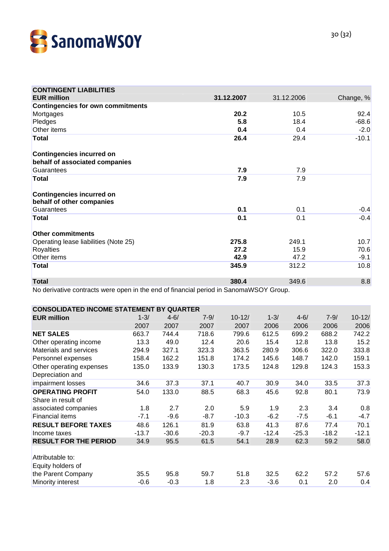

| <b>CONTINGENT LIABILITIES</b>                                 |            |            |           |
|---------------------------------------------------------------|------------|------------|-----------|
| <b>EUR million</b>                                            | 31.12.2007 | 31.12.2006 | Change, % |
| <b>Contingencies for own commitments</b>                      |            |            |           |
| Mortgages                                                     | 20.2       | 10.5       | 92.4      |
| Pledges                                                       | 5.8        | 18.4       | $-68.6$   |
| Other items                                                   | 0.4        | 0.4        | $-2.0$    |
| <b>Total</b>                                                  | 26.4       | 29.4       | $-10.1$   |
| <b>Contingencies incurred on</b>                              |            |            |           |
| behalf of associated companies                                |            |            |           |
| Guarantees                                                    | 7.9        | 7.9        |           |
| <b>Total</b>                                                  | 7.9        | 7.9        |           |
| <b>Contingencies incurred on</b><br>behalf of other companies |            |            |           |
| Guarantees                                                    | 0.1        | 0.1        | $-0.4$    |
| <b>Total</b>                                                  | 0.1        | 0.1        | $-0.4$    |
| <b>Other commitments</b>                                      |            |            |           |
| Operating lease liabilities (Note 25)                         | 275.8      | 249.1      | 10.7      |
| <b>Royalties</b>                                              | 27.2       | 15.9       | 70.6      |
| Other items                                                   | 42.9       | 47.2       | $-9.1$    |
| <b>Total</b>                                                  | 345.9      | 312.2      | 10.8      |
| <b>Total</b>                                                  | 380.4      | 349.6      | 8.8       |

No derivative contracts were open in the end of financial period in SanomaWSOY Group.

| <b>CONSOLIDATED INCOME STATEMENT</b><br>BY.<br><b>QUARTER</b> |          |          |          |            |          |          |          |            |
|---------------------------------------------------------------|----------|----------|----------|------------|----------|----------|----------|------------|
| <b>EUR million</b>                                            | $1 - 3/$ | $4 - 6/$ | $7 - 9/$ | $10 - 12/$ | $1 - 3/$ | $4 - 6/$ | $7 - 9/$ | $10 - 12/$ |
|                                                               | 2007     | 2007     | 2007     | 2007       | 2006     | 2006     | 2006     | 2006       |
| <b>NET SALES</b>                                              | 663.7    | 744.4    | 718.6    | 799.6      | 612.5    | 699.2    | 688.2    | 742.2      |
| Other operating income                                        | 13.3     | 49.0     | 12.4     | 20.6       | 15.4     | 12.8     | 13.8     | 15.2       |
| Materials and services                                        | 294.9    | 327.1    | 323.3    | 363.5      | 280.9    | 306.6    | 322.0    | 333.8      |
| Personnel expenses                                            | 158.4    | 162.2    | 151.8    | 174.2      | 145.6    | 148.7    | 142.0    | 159.1      |
| Other operating expenses                                      | 135.0    | 133.9    | 130.3    | 173.5      | 124.8    | 129.8    | 124.3    | 153.3      |
| Depreciation and                                              |          |          |          |            |          |          |          |            |
| impairment losses                                             | 34.6     | 37.3     | 37.1     | 40.7       | 30.9     | 34.0     | 33.5     | 37.3       |
| <b>OPERATING PROFIT</b>                                       | 54.0     | 133.0    | 88.5     | 68.3       | 45.6     | 92.8     | 80.1     | 73.9       |
| Share in result of                                            |          |          |          |            |          |          |          |            |
| associated companies                                          | 1.8      | 2.7      | 2.0      | 5.9        | 1.9      | 2.3      | 3.4      | 0.8        |
| <b>Financial items</b>                                        | $-7.1$   | $-9.6$   | $-8.7$   | $-10.3$    | $-6.2$   | $-7.5$   | $-6.1$   | $-4.7$     |
| <b>RESULT BEFORE TAXES</b>                                    | 48.6     | 126.1    | 81.9     | 63.8       | 41.3     | 87.6     | 77.4     | 70.1       |
| Income taxes                                                  | $-13.7$  | $-30.6$  | $-20.3$  | $-9.7$     | $-12.4$  | $-25.3$  | $-18.2$  | $-12.1$    |
| <b>RESULT FOR THE PERIOD</b>                                  | 34.9     | 95.5     | 61.5     | 54.1       | 28.9     | 62.3     | 59.2     | 58.0       |
|                                                               |          |          |          |            |          |          |          |            |
| Attributable to:                                              |          |          |          |            |          |          |          |            |
| Equity holders of                                             |          |          |          |            |          |          |          |            |
| the Parent Company                                            | 35.5     | 95.8     | 59.7     | 51.8       | 32.5     | 62.2     | 57.2     | 57.6       |
| Minority interest                                             | $-0.6$   | $-0.3$   | 1.8      | 2.3        | $-3.6$   | 0.1      | 2.0      | 0.4        |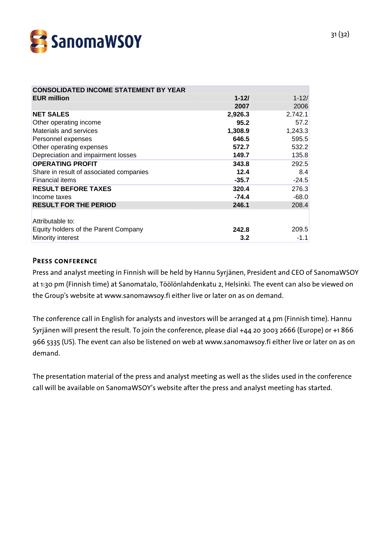

| <b>CONSOLIDATED INCOME STATEMENT BY YEAR</b> |           |           |
|----------------------------------------------|-----------|-----------|
| <b>EUR million</b>                           | $1 - 121$ | $1 - 12/$ |
|                                              | 2007      | 2006      |
| <b>NET SALES</b>                             | 2,926.3   | 2,742.1   |
| Other operating income                       | 95.2      | 57.2      |
| Materials and services                       | 1,308.9   | 1,243.3   |
| Personnel expenses                           | 646.5     | 595.5     |
| Other operating expenses                     | 572.7     | 532.2     |
| Depreciation and impairment losses           | 149.7     | 135.8     |
| <b>OPERATING PROFIT</b>                      | 343.8     | 292.5     |
| Share in result of associated companies      | 12.4      | 8.4       |
| <b>Financial items</b>                       | $-35.7$   | $-24.5$   |
| <b>RESULT BEFORE TAXES</b>                   | 320.4     | 276.3     |
| Income taxes                                 | $-74.4$   | $-68.0$   |
| <b>RESULT FOR THE PERIOD</b>                 | 246.1     | 208.4     |
|                                              |           |           |
| Attributable to:                             |           |           |
| Equity holders of the Parent Company         | 242.8     | 209.5     |
| Minority interest                            | 3.2       | $-1.1$    |

## PRESS CONFERENCE

Press and analyst meeting in Finnish will be held by Hannu Syrjänen, President and CEO of SanomaWSOY at 1:30 pm (Finnish time) at Sanomatalo, Töölönlahdenkatu 2, Helsinki. The event can also be viewed on the Group's website at www.sanomawsoy.fi either live or later on as on demand.

The conference call in English for analysts and investors will be arranged at 4 pm (Finnish time). Hannu Syrjänen will present the result. To join the conference, please dial +44 20 3003 2666 (Europe) or +1 866 966 5335 (US). The event can also be listened on web at www.sanomawsoy.fi either live or later on as on demand.

The presentation material of the press and analyst meeting as well as the slides used in the conference call will be available on SanomaWSOY's website after the press and analyst meeting has started.